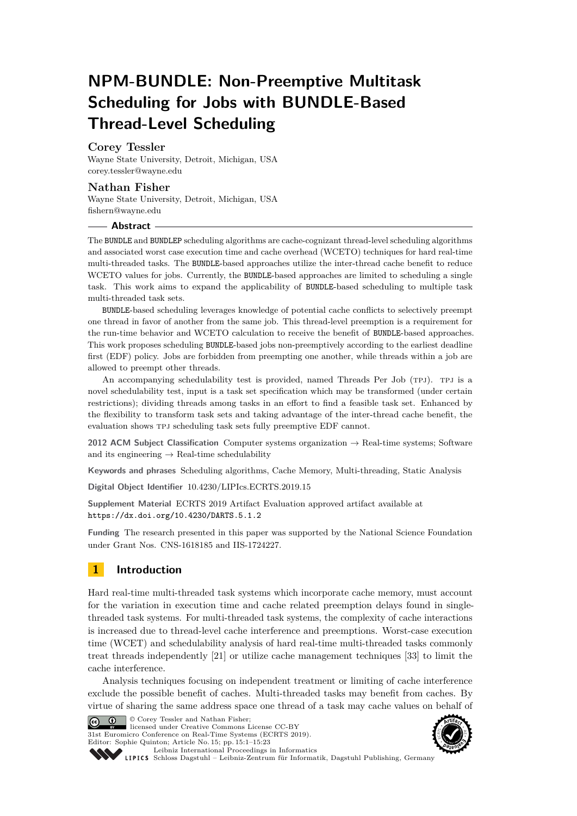# **NPM-BUNDLE: Non-Preemptive Multitask Scheduling for Jobs with BUNDLE-Based Thread-Level Scheduling**

## **Corey Tessler**

Wayne State University, Detroit, Michigan, USA [corey.tessler@wayne.edu](mailto:corey.tessler@wayne.edu)

## **Nathan Fisher**

Wayne State University, Detroit, Michigan, USA [fishern@wayne.edu](mailto:fishern@wayne.edu)

#### **Abstract**

The BUNDLE and BUNDLEP scheduling algorithms are cache-cognizant thread-level scheduling algorithms and associated worst case execution time and cache overhead (WCETO) techniques for hard real-time multi-threaded tasks. The BUNDLE-based approaches utilize the inter-thread cache benefit to reduce WCETO values for jobs. Currently, the BUNDLE-based approaches are limited to scheduling a single task. This work aims to expand the applicability of BUNDLE-based scheduling to multiple task multi-threaded task sets.

BUNDLE-based scheduling leverages knowledge of potential cache conflicts to selectively preempt one thread in favor of another from the same job. This thread-level preemption is a requirement for the run-time behavior and WCETO calculation to receive the benefit of BUNDLE-based approaches. This work proposes scheduling BUNDLE-based jobs non-preemptively according to the earliest deadline first (EDF) policy. Jobs are forbidden from preempting one another, while threads within a job are allowed to preempt other threads.

An accompanying schedulability test is provided, named Threads Per Job (TPJ). TPJ is a novel schedulability test, input is a task set specification which may be transformed (under certain restrictions); dividing threads among tasks in an effort to find a feasible task set. Enhanced by the flexibility to transform task sets and taking advantage of the inter-thread cache benefit, the evaluation shows tpj scheduling task sets fully preemptive EDF cannot.

**2012 ACM Subject Classification** Computer systems organization → Real-time systems; Software and its engineering  $\rightarrow$  Real-time schedulability

**Keywords and phrases** Scheduling algorithms, Cache Memory, Multi-threading, Static Analysis

**Digital Object Identifier** [10.4230/LIPIcs.ECRTS.2019.15](https://doi.org/10.4230/LIPIcs.ECRTS.2019.15)

**Supplement Material** ECRTS 2019 Artifact Evaluation approved artifact available at <https://dx.doi.org/10.4230/DARTS.5.1.2>

**Funding** The research presented in this paper was supported by the National Science Foundation under Grant Nos. CNS-1618185 and IIS-1724227.

## **1 Introduction**

Hard real-time multi-threaded task systems which incorporate cache memory, must account for the variation in execution time and cache related preemption delays found in singlethreaded task systems. For multi-threaded task systems, the complexity of cache interactions is increased due to thread-level cache interference and preemptions. Worst-case execution time (WCET) and schedulability analysis of hard real-time multi-threaded tasks commonly treat threads independently [\[21\]](#page-21-0) or utilize cache management techniques [\[33\]](#page-22-0) to limit the cache interference.

Analysis techniques focusing on independent treatment or limiting of cache interference exclude the possible benefit of caches. Multi-threaded tasks may benefit from caches. By virtue of sharing the same address space one thread of a task may cache values on behalf of



**C**  $\bullet$   $\bullet$  © Corey Tessler and Nathan Fisher: licensed under Creative Commons License CC-BY 31st Euromicro Conference on Real-Time Systems (ECRTS 2019). Editor: Sophie Quinton; Article No. 15; pp. 15:1–15[:23](#page-22-1)

**onsisten<sup>t</sup> \* <sup>C</sup><sup>o</sup>mplet<sup>e</sup> \* Well ocumen et d <sup>t</sup> <sup>y</sup>sa<sup>E</sup> \* o Reuse <sup>E</sup>v<sup>a</sup> <sup>u</sup><sup>l</sup> <sup>d</sup>e<sup>t</sup> <sup>a</sup>** \* E \***<sup>A</sup>rtifac<sup>t</sup>** A

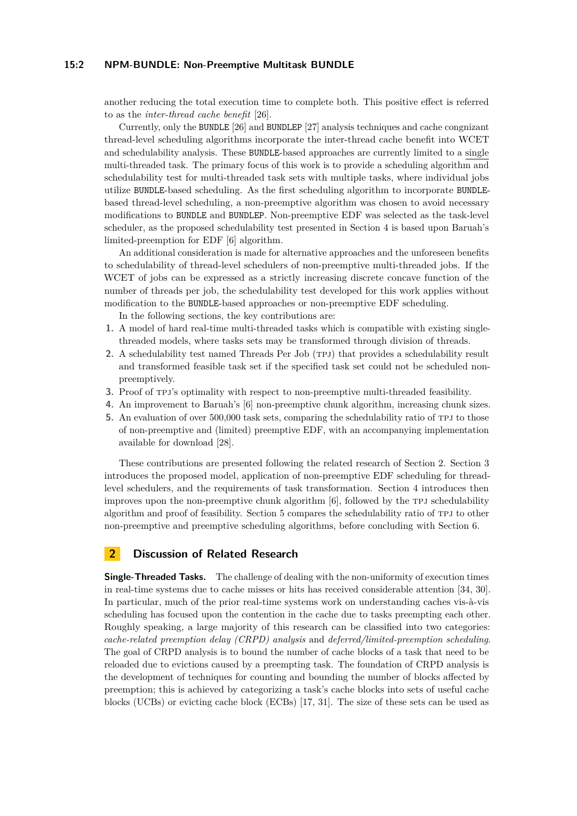#### **15:2 NPM-BUNDLE: Non-Preemptive Multitask BUNDLE**

another reducing the total execution time to complete both. This positive effect is referred to as the *inter-thread cache benefit* [\[26\]](#page-21-1).

Currently, only the BUNDLE [\[26\]](#page-21-1) and BUNDLEP [\[27\]](#page-22-2) analysis techniques and cache congnizant thread-level scheduling algorithms incorporate the inter-thread cache benefit into WCET and schedulability analysis. These BUNDLE-based approaches are currently limited to a single multi-threaded task. The primary focus of this work is to provide a scheduling algorithm and schedulability test for multi-threaded task sets with multiple tasks, where individual jobs utilize BUNDLE-based scheduling. As the first scheduling algorithm to incorporate BUNDLEbased thread-level scheduling, a non-preemptive algorithm was chosen to avoid necessary modifications to BUNDLE and BUNDLEP. Non-preemptive EDF was selected as the task-level scheduler, as the proposed schedulability test presented in Section [4](#page-6-0) is based upon Baruah's limited-preemption for EDF [\[6\]](#page-20-0) algorithm.

An additional consideration is made for alternative approaches and the unforeseen benefits to schedulability of thread-level schedulers of non-preemptive multi-threaded jobs. If the WCET of jobs can be expressed as a strictly increasing discrete concave function of the number of threads per job, the schedulability test developed for this work applies without modification to the BUNDLE-based approaches or non-preemptive EDF scheduling.

In the following sections, the key contributions are:

- **1.** A model of hard real-time multi-threaded tasks which is compatible with existing singlethreaded models, where tasks sets may be transformed through division of threads.
- 2. A schedulability test named Threads Per Job (TPJ) that provides a schedulability result and transformed feasible task set if the specified task set could not be scheduled nonpreemptively.
- **3.** Proof of tpj's optimality with respect to non-preemptive multi-threaded feasibility.
- **4.** An improvement to Baruah's [\[6\]](#page-20-0) non-preemptive chunk algorithm, increasing chunk sizes.
- **5.** An evaluation of over 500,000 task sets, comparing the schedulability ratio of tpj to those of non-preemptive and (limited) preemptive EDF, with an accompanying implementation available for download [\[28\]](#page-22-3).

These contributions are presented following the related research of Section [2.](#page-1-0) Section [3](#page-3-0) introduces the proposed model, application of non-preemptive EDF scheduling for threadlevel schedulers, and the requirements of task transformation. Section [4](#page-6-0) introduces then improves upon the non-preemptive chunk algorithm  $[6]$ , followed by the TPJ schedulability algorithm and proof of feasibility. Section [5](#page-15-0) compares the schedulability ratio of tpj to other non-preemptive and preemptive scheduling algorithms, before concluding with Section [6.](#page-20-1)

## <span id="page-1-0"></span>**2 Discussion of Related Research**

**Single-Threaded Tasks.** The challenge of dealing with the non-uniformity of execution times in real-time systems due to cache misses or hits has received considerable attention [\[34,](#page-22-4) [30\]](#page-22-5). In particular, much of the prior real-time systems work on understanding caches vis-à-vis scheduling has focused upon the contention in the cache due to tasks preempting each other. Roughly speaking, a large majority of this research can be classified into two categories: *cache-related preemption delay (CRPD) analysis* and *deferred/limited-preemption scheduling*. The goal of CRPD analysis is to bound the number of cache blocks of a task that need to be reloaded due to evictions caused by a preempting task. The foundation of CRPD analysis is the development of techniques for counting and bounding the number of blocks affected by preemption; this is achieved by categorizing a task's cache blocks into sets of useful cache blocks (UCBs) or evicting cache block (ECBs) [\[17,](#page-21-2) [31\]](#page-22-6). The size of these sets can be used as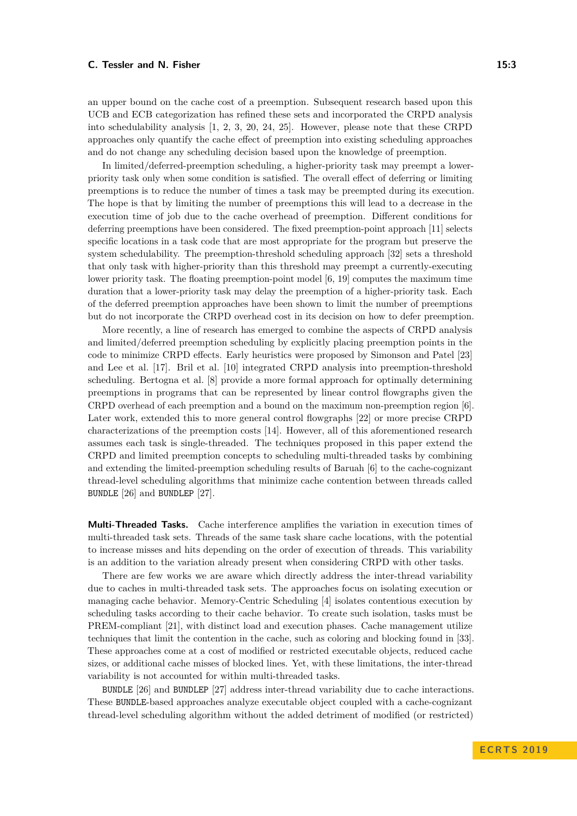an upper bound on the cache cost of a preemption. Subsequent research based upon this UCB and ECB categorization has refined these sets and incorporated the CRPD analysis into schedulability analysis [\[1,](#page-20-2) [2,](#page-20-3) [3,](#page-20-4) [20,](#page-21-3) [24,](#page-21-4) [25\]](#page-21-5). However, please note that these CRPD approaches only quantify the cache effect of preemption into existing scheduling approaches and do not change any scheduling decision based upon the knowledge of preemption.

In limited/deferred-preemption scheduling, a higher-priority task may preempt a lowerpriority task only when some condition is satisfied. The overall effect of deferring or limiting preemptions is to reduce the number of times a task may be preempted during its execution. The hope is that by limiting the number of preemptions this will lead to a decrease in the execution time of job due to the cache overhead of preemption. Different conditions for deferring preemptions have been considered. The fixed preemption-point approach [\[11\]](#page-21-6) selects specific locations in a task code that are most appropriate for the program but preserve the system schedulability. The preemption-threshold scheduling approach [\[32\]](#page-22-7) sets a threshold that only task with higher-priority than this threshold may preempt a currently-executing lower priority task. The floating preemption-point model [\[6,](#page-20-0) [19\]](#page-21-7) computes the maximum time duration that a lower-priority task may delay the preemption of a higher-priority task. Each of the deferred preemption approaches have been shown to limit the number of preemptions but do not incorporate the CRPD overhead cost in its decision on how to defer preemption.

More recently, a line of research has emerged to combine the aspects of CRPD analysis and limited/deferred preemption scheduling by explicitly placing preemption points in the code to minimize CRPD effects. Early heuristics were proposed by Simonson and Patel [\[23\]](#page-21-8) and Lee et al. [\[17\]](#page-21-2). Bril et al. [\[10\]](#page-21-9) integrated CRPD analysis into preemption-threshold scheduling. Bertogna et al. [\[8\]](#page-20-5) provide a more formal approach for optimally determining preemptions in programs that can be represented by linear control flowgraphs given the CRPD overhead of each preemption and a bound on the maximum non-preemption region [\[6\]](#page-20-0). Later work, extended this to more general control flowgraphs [\[22\]](#page-21-10) or more precise CRPD characterizations of the preemption costs [\[14\]](#page-21-11). However, all of this aforementioned research assumes each task is single-threaded. The techniques proposed in this paper extend the CRPD and limited preemption concepts to scheduling multi-threaded tasks by combining and extending the limited-preemption scheduling results of Baruah [\[6\]](#page-20-0) to the cache-cognizant thread-level scheduling algorithms that minimize cache contention between threads called BUNDLE [\[26\]](#page-21-1) and BUNDLEP [\[27\]](#page-22-2).

**Multi-Threaded Tasks.** Cache interference amplifies the variation in execution times of multi-threaded task sets. Threads of the same task share cache locations, with the potential to increase misses and hits depending on the order of execution of threads. This variability is an addition to the variation already present when considering CRPD with other tasks.

There are few works we are aware which directly address the inter-thread variability due to caches in multi-threaded task sets. The approaches focus on isolating execution or managing cache behavior. Memory-Centric Scheduling [\[4\]](#page-20-6) isolates contentious execution by scheduling tasks according to their cache behavior. To create such isolation, tasks must be PREM-compliant [\[21\]](#page-21-0), with distinct load and execution phases. Cache management utilize techniques that limit the contention in the cache, such as coloring and blocking found in [\[33\]](#page-22-0). These approaches come at a cost of modified or restricted executable objects, reduced cache sizes, or additional cache misses of blocked lines. Yet, with these limitations, the inter-thread variability is not accounted for within multi-threaded tasks.

BUNDLE [\[26\]](#page-21-1) and BUNDLEP [\[27\]](#page-22-2) address inter-thread variability due to cache interactions. These BUNDLE-based approaches analyze executable object coupled with a cache-cognizant thread-level scheduling algorithm without the added detriment of modified (or restricted)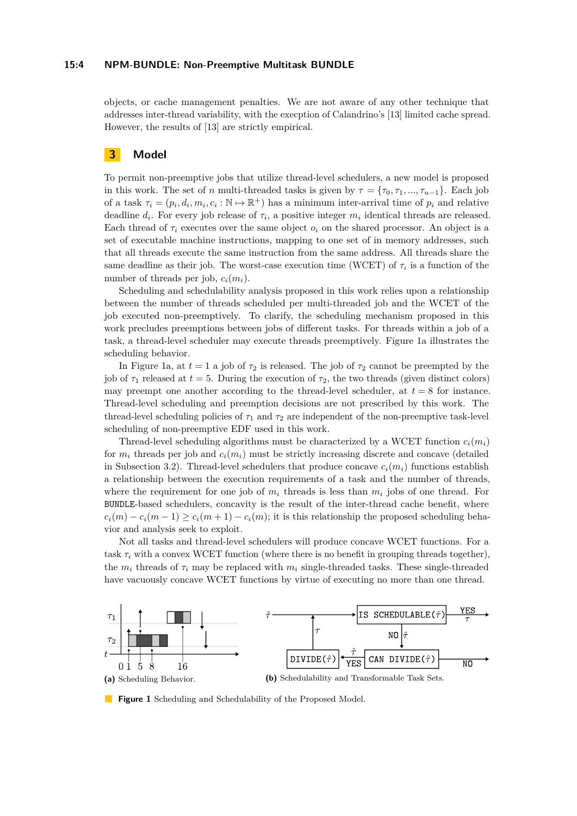#### **15:4 NPM-BUNDLE: Non-Preemptive Multitask BUNDLE**

objects, or cache management penalties. We are not aware of any other technique that addresses inter-thread variability, with the execption of Calandrino's [\[13\]](#page-21-12) limited cache spread. However, the results of [\[13\]](#page-21-12) are strictly empirical.

## <span id="page-3-0"></span>**3 Model**

To permit non-preemptive jobs that utilize thread-level schedulers, a new model is proposed in this work. The set of *n* multi-threaded tasks is given by  $\tau = {\tau_0, \tau_1, ..., \tau_{n-1}}$ . Each job of a task  $\tau_i = (p_i, d_i, m_i, c_i : \mathbb{N} \to \mathbb{R}^+)$  has a minimum inter-arrival time of  $p_i$  and relative deadline  $d_i$ . For every job release of  $\tau_i$ , a positive integer  $m_i$  identical threads are released. Each thread of  $\tau_i$  executes over the same object  $o_i$  on the shared processor. An object is a set of executable machine instructions, mapping to one set of in memory addresses, such that all threads execute the same instruction from the same address. All threads share the same deadline as their job. The worst-case execution time (WCET) of  $\tau_i$  is a function of the number of threads per job,  $c_i(m_i)$ .

Scheduling and schedulability analysis proposed in this work relies upon a relationship between the number of threads scheduled per multi-threaded job and the WCET of the job executed non-preemptively. To clarify, the scheduling mechanism proposed in this work precludes preemptions between jobs of different tasks. For threads within a job of a task, a thread-level scheduler may execute threads preemptively. Figure [1a](#page-3-1) illustrates the scheduling behavior.

In Figure [1a,](#page-3-1) at  $t = 1$  a job of  $\tau_2$  is released. The job of  $\tau_2$  cannot be preempted by the job of  $\tau_1$  released at  $t = 5$ . During the execution of  $\tau_2$ , the two threads (given distinct colors) may preempt one another according to the thread-level scheduler, at  $t = 8$  for instance. Thread-level scheduling and preemption decisions are not prescribed by this work. The thread-level scheduling policies of  $\tau_1$  and  $\tau_2$  are independent of the non-preemptive task-level scheduling of non-preemptive EDF used in this work.

Thread-level scheduling algorithms must be characterized by a WCET function  $c_i(m_i)$ for  $m_i$  threads per job and  $c_i(m_i)$  must be strictly increasing discrete and concave (detailed in Subsection [3.2\)](#page-5-0). Thread-level schedulers that produce concave  $c_i(m_i)$  functions establish a relationship between the execution requirements of a task and the number of threads, where the requirement for one job of  $m_i$  threads is less than  $m_i$  jobs of one thread. For BUNDLE-based schedulers, concavity is the result of the inter-thread cache benefit, where  $c_i(m) - c_i(m-1) \geq c_i(m+1) - c_i(m)$ ; it is this relationship the proposed scheduling behavior and analysis seek to exploit.

Not all tasks and thread-level schedulers will produce concave WCET functions. For a task  $\tau_i$  with a convex WCET function (where there is no benefit in grouping threads together), the  $m_i$  threads of  $\tau_i$  may be replaced with  $m_i$  single-threaded tasks. These single-threaded have vacuously concave WCET functions by virtue of executing no more than one thread.

<span id="page-3-1"></span>

**Figure 1** Scheduling and Schedulability of the Proposed Model.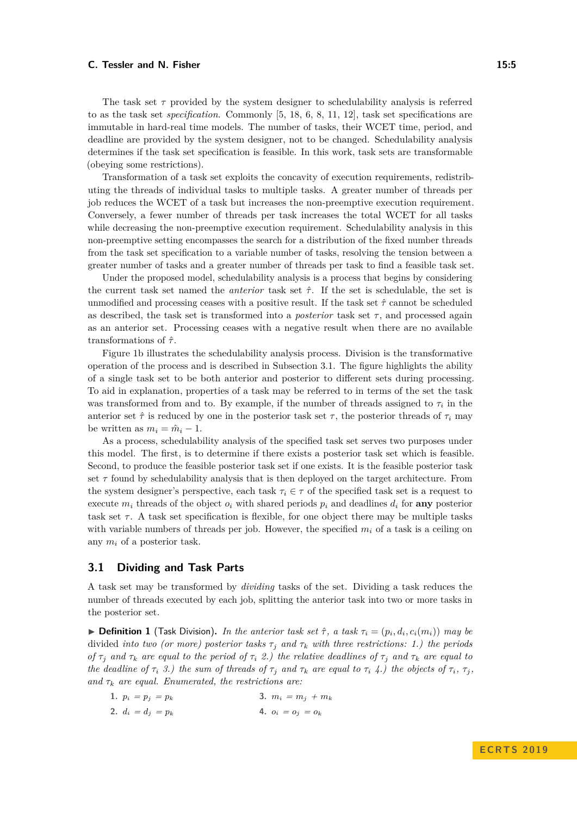The task set  $\tau$  provided by the system designer to schedulability analysis is referred to as the task set *specification*. Commonly [\[5,](#page-20-7) [18,](#page-21-13) [6,](#page-20-0) [8,](#page-20-5) [11,](#page-21-6) [12\]](#page-21-14), task set specifications are immutable in hard-real time models. The number of tasks, their WCET time, period, and deadline are provided by the system designer, not to be changed. Schedulability analysis determines if the task set specification is feasible. In this work, task sets are transformable (obeying some restrictions).

Transformation of a task set exploits the concavity of execution requirements, redistributing the threads of individual tasks to multiple tasks. A greater number of threads per job reduces the WCET of a task but increases the non-preemptive execution requirement. Conversely, a fewer number of threads per task increases the total WCET for all tasks while decreasing the non-preemptive execution requirement. Schedulability analysis in this non-preemptive setting encompasses the search for a distribution of the fixed number threads from the task set specification to a variable number of tasks, resolving the tension between a greater number of tasks and a greater number of threads per task to find a feasible task set.

Under the proposed model, schedulability analysis is a process that begins by considering the current task set named the *anterior* task set *τ*ˆ. If the set is schedulable, the set is unmodified and processing ceases with a positive result. If the task set *τ*ˆ cannot be scheduled as described, the task set is transformed into a *posterior* task set  $\tau$ , and processed again as an anterior set. Processing ceases with a negative result when there are no available transformations of *τ*ˆ.

Figure [1b](#page-3-1) illustrates the schedulability analysis process. Division is the transformative operation of the process and is described in Subsection [3.1.](#page-4-0) The figure highlights the ability of a single task set to be both anterior and posterior to different sets during processing. To aid in explanation, properties of a task may be referred to in terms of the set the task was transformed from and to. By example, if the number of threads assigned to  $\tau_i$  in the anterior set  $\hat{\tau}$  is reduced by one in the posterior task set  $\tau$ , the posterior threads of  $\tau_i$  may be written as  $m_i = \hat{m}_i - 1$ .

As a process, schedulability analysis of the specified task set serves two purposes under this model. The first, is to determine if there exists a posterior task set which is feasible. Second, to produce the feasible posterior task set if one exists. It is the feasible posterior task set  $\tau$  found by schedulability analysis that is then deployed on the target architecture. From the system designer's perspective, each task  $\tau_i \in \tau$  of the specified task set is a request to execute  $m_i$  threads of the object  $o_i$  with shared periods  $p_i$  and deadlines  $d_i$  for **any** posterior task set  $\tau$ . A task set specification is flexible, for one object there may be multiple tasks with variable numbers of threads per job. However, the specified *m<sup>i</sup>* of a task is a ceiling on any *m<sup>i</sup>* of a posterior task.

## <span id="page-4-0"></span>**3.1 Dividing and Task Parts**

A task set may be transformed by *dividing* tasks of the set. Dividing a task reduces the number of threads executed by each job, splitting the anterior task into two or more tasks in the posterior set.

<span id="page-4-1"></span>**Definition 1** (Task Division). In the anterior task set  $\hat{\tau}$ , a task  $\tau_i = (p_i, d_i, c_i(m_i))$  may be divided *into two (or more) posterior tasks τ<sup>j</sup> and τ<sup>k</sup> with three restrictions: 1.) the periods of*  $\tau_j$  *and*  $\tau_k$  *are equal to the period of*  $\tau_i$  *2.) the relative deadlines of*  $\tau_j$  *and*  $\tau_k$  *are equal to* the deadline of  $\tau_i$  3.) the sum of threads of  $\tau_j$  and  $\tau_k$  are equal to  $\tau_i$  4.) the objects of  $\tau_i$ ,  $\tau_j$ , *and*  $\tau_k$  *are equal. Enumerated, the restrictions are:* 

<span id="page-4-2"></span>

| 1. $p_i = p_j = p_k$ | 3. $m_i = m_j + m_k$ |
|----------------------|----------------------|
| 2. $d_i = d_j = p_k$ | 4. $o_i = o_j = o_k$ |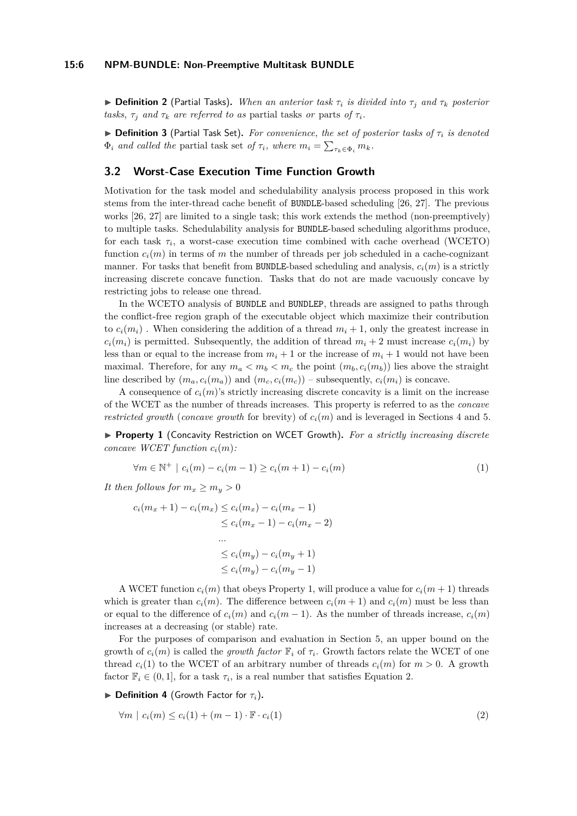#### **15:6 NPM-BUNDLE: Non-Preemptive Multitask BUNDLE**

 $\triangleright$  **Definition 2** (Partial Tasks). When an anterior task  $\tau_i$  is divided into  $\tau_j$  and  $\tau_k$  posterior *tasks,*  $\tau_i$  *and*  $\tau_k$  *are referred to as* partial tasks *or* parts *of*  $\tau_i$ *.* 

I **Definition 3** (Partial Task Set)**.** *For convenience, the set of posterior tasks of τ<sup>i</sup> is denoted*  $\Phi_i$  *and called the* partial task set *of*  $\tau_i$ *, where*  $m_i = \sum_{\tau_k \in \Phi_i} m_k$ *.* 

## <span id="page-5-0"></span>**3.2 Worst-Case Execution Time Function Growth**

Motivation for the task model and schedulability analysis process proposed in this work stems from the inter-thread cache benefit of BUNDLE-based scheduling [\[26,](#page-21-1) [27\]](#page-22-2). The previous works [\[26,](#page-21-1) [27\]](#page-22-2) are limited to a single task; this work extends the method (non-preemptively) to multiple tasks. Schedulability analysis for BUNDLE-based scheduling algorithms produce, for each task  $\tau_i$ , a worst-case execution time combined with cache overhead (WCETO) function  $c_i(m)$  in terms of *m* the number of threads per job scheduled in a cache-cognizant manner. For tasks that benefit from BUNDLE-based scheduling and analysis,  $c_i(m)$  is a strictly increasing discrete concave function. Tasks that do not are made vacuously concave by restricting jobs to release one thread.

In the WCETO analysis of BUNDLE and BUNDLEP, threads are assigned to paths through the conflict-free region graph of the executable object which maximize their contribution to  $c_i(m_i)$ . When considering the addition of a thread  $m_i + 1$ , only the greatest increase in  $c_i(m_i)$  is permitted. Subsequently, the addition of thread  $m_i + 2$  must increase  $c_i(m_i)$  by less than or equal to the increase from  $m_i + 1$  or the increase of  $m_i + 1$  would not have been maximal. Therefore, for any  $m_a < m_b < m_c$  the point  $(m_b, c_i(m_b))$  lies above the straight line described by  $(m_a, c_i(m_a))$  and  $(m_c, c_i(m_c))$  – subsequently,  $c_i(m_i)$  is concave.

A consequence of  $c_i(m)$ 's strictly increasing discrete concavity is a limit on the increase of the WCET as the number of threads increases. This property is referred to as the *concave restricted growth* (*concave growth* for brevity) of  $c_i(m)$  and is leveraged in Sections [4](#page-6-0) and [5.](#page-15-0)

<span id="page-5-1"></span>▶ **Property 1** (Concavity Restriction on WCET Growth). For a strictly increasing discrete *concave WCET function*  $c_i(m)$ *:* 

$$
\forall m \in \mathbb{N}^+ \mid c_i(m) - c_i(m-1) \ge c_i(m+1) - c_i(m) \tag{1}
$$

*It then follows for*  $m_x \ge m_y > 0$ 

$$
c_i(m_x + 1) - c_i(m_x) \le c_i(m_x) - c_i(m_x - 1)
$$
  
\n
$$
\le c_i(m_x - 1) - c_i(m_x - 2)
$$
  
\n...  
\n
$$
\le c_i(m_y) - c_i(m_y + 1)
$$
  
\n
$$
\le c_i(m_y) - c_i(m_y - 1)
$$

A WCET function  $c_i(m)$  that obeys Property [1,](#page-5-1) will produce a value for  $c_i(m + 1)$  threads which is greater than  $c_i(m)$ . The difference between  $c_i(m + 1)$  and  $c_i(m)$  must be less than or equal to the difference of  $c_i(m)$  and  $c_i(m-1)$ . As the number of threads increase,  $c_i(m)$ increases at a decreasing (or stable) rate.

For the purposes of comparison and evaluation in Section [5,](#page-15-0) an upper bound on the growth of  $c_i(m)$  is called the *growth factor*  $\mathbb{F}_i$  of  $\tau_i$ . Growth factors relate the WCET of one thread  $c_i(1)$  to the WCET of an arbitrary number of threads  $c_i(m)$  for  $m > 0$ . A growth factor  $\mathbb{F}_i \in (0,1]$ , for a task  $\tau_i$ , is a real number that satisfies Equation [2.](#page-5-2)

<span id="page-5-2"></span> $\triangleright$  **Definition 4** (Growth Factor for  $\tau_i$ ).

$$
\forall m \mid c_i(m) \le c_i(1) + (m-1) \cdot \mathbb{F} \cdot c_i(1) \tag{2}
$$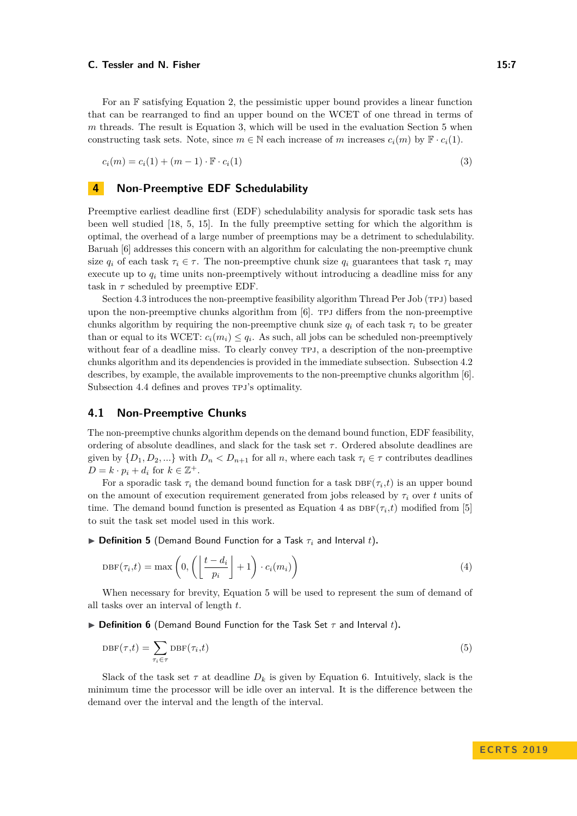For an F satisfying Equation [2,](#page-5-2) the pessimistic upper bound provides a linear function that can be rearranged to find an upper bound on the WCET of one thread in terms of *m* threads. The result is Equation [3,](#page-6-1) which will be used in the evaluation Section [5](#page-15-0) when constructing task sets. Note, since  $m \in \mathbb{N}$  each increase of *m* increases  $c_i(m)$  by  $\mathbb{F} \cdot c_i(1)$ .

<span id="page-6-1"></span> $c_i(m) = c_i(1) + (m-1) \cdot \mathbb{F} \cdot c_i(1)$  (3)

## <span id="page-6-0"></span>**4 Non-Preemptive EDF Schedulability**

Preemptive earliest deadline first (EDF) schedulability analysis for sporadic task sets has been well studied [\[18,](#page-21-13) [5,](#page-20-7) [15\]](#page-21-15). In the fully preemptive setting for which the algorithm is optimal, the overhead of a large number of preemptions may be a detriment to schedulability. Baruah [\[6\]](#page-20-0) addresses this concern with an algorithm for calculating the non-preemptive chunk size  $q_i$  of each task  $\tau_i \in \tau$ . The non-preemptive chunk size  $q_i$  guarantees that task  $\tau_i$  may execute up to *q<sup>i</sup>* time units non-preemptively without introducing a deadline miss for any task in  $\tau$  scheduled by preemptive EDF.

Section [4.3](#page-9-0) introduces the non-preemptive feasibility algorithm Thread Per Job (TPJ) based upon the non-preemptive chunks algorithm from  $[6]$ . TPJ differs from the non-preemptive chunks algorithm by requiring the non-preemptive chunk size  $q_i$  of each task  $\tau_i$  to be greater than or equal to its WCET:  $c_i(m_i) \leq q_i$ . As such, all jobs can be scheduled non-preemptively without fear of a deadline miss. To clearly convey TPJ, a description of the non-preemptive chunks algorithm and its dependencies is provided in the immediate subsection. Subsection [4.2](#page-8-0) describes, by example, the available improvements to the non-preemptive chunks algorithm [\[6\]](#page-20-0). Subsection [4.4](#page-12-0) defines and proves TPJ's optimality.

## **4.1 Non-Preemptive Chunks**

The non-preemptive chunks algorithm depends on the demand bound function, EDF feasibility, ordering of absolute deadlines, and slack for the task set  $\tau$ . Ordered absolute deadlines are given by  $\{D_1, D_2, ...\}$  with  $D_n < D_{n+1}$  for all *n*, where each task  $\tau_i \in \tau$  contributes deadlines  $D = k \cdot p_i + d_i$  for  $k \in \mathbb{Z}^+$ .

For a sporadic task  $\tau_i$  the demand bound function for a task  $\text{DBF}(\tau_i, t)$  is an upper bound on the amount of execution requirement generated from jobs released by  $\tau_i$  over *t* units of time. The demand bound function is presented as Equation [4](#page-6-2) as  $DBF(\tau_i, t)$  modified from [\[5\]](#page-20-7) to suit the task set model used in this work.

<span id="page-6-2"></span> $\triangleright$  **Definition 5** (Demand Bound Function for a Task  $\tau_i$  and Interval *t*).

$$
DBF(\tau_i, t) = \max\left(0, \left(\left\lfloor \frac{t - d_i}{p_i} \right\rfloor + 1\right) \cdot c_i(m_i)\right) \tag{4}
$$

When necessary for brevity, Equation [5](#page-6-3) will be used to represent the sum of demand of all tasks over an interval of length *t*.

<span id="page-6-3"></span>**Definition 6** (Demand Bound Function for the Task Set  $\tau$  and Interval t).

$$
DBF(\tau, t) = \sum_{\tau_i \in \tau} DBF(\tau_i, t)
$$
\n(5)

Slack of the task set  $\tau$  at deadline  $D_k$  is given by Equation [6.](#page-7-0) Intuitively, slack is the minimum time the processor will be idle over an interval. It is the difference between the demand over the interval and the length of the interval.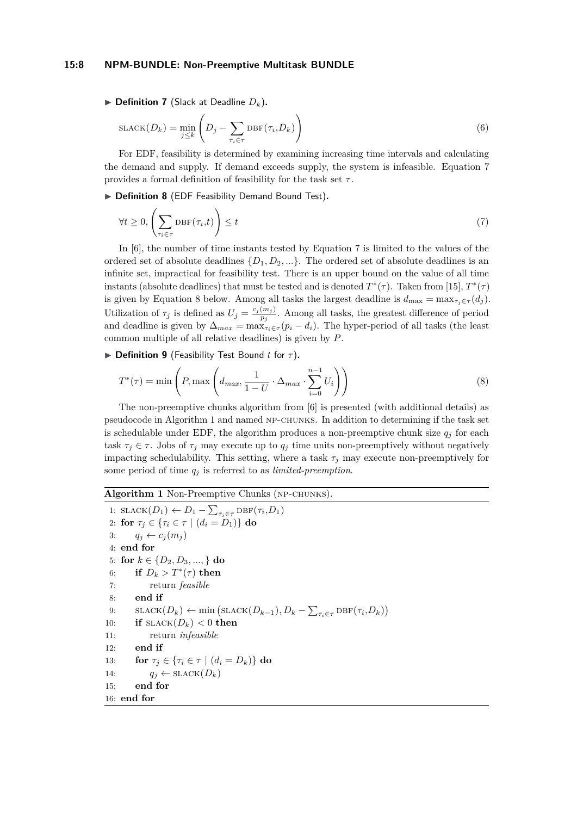#### **15:8 NPM-BUNDLE: Non-Preemptive Multitask BUNDLE**

<span id="page-7-0"></span> $\blacktriangleright$  **Definition 7** (Slack at Deadline  $D_k$ ).

$$
SLACK(D_k) = \min_{j \le k} \left( D_j - \sum_{\tau_i \in \tau} DBF(\tau_i, D_k) \right)
$$
\n(6)

For EDF, feasibility is determined by examining increasing time intervals and calculating the demand and supply. If demand exceeds supply, the system is infeasible. Equation [7](#page-7-1) provides a formal definition of feasibility for the task set *τ* .

<span id="page-7-1"></span>▶ Definition 8 (EDF Feasibility Demand Bound Test).

$$
\forall t \geq 0, \left(\sum_{\tau_i \in \tau} \text{DBF}(\tau_i, t)\right) \leq t \tag{7}
$$

In [\[6\]](#page-20-0), the number of time instants tested by Equation [7](#page-7-1) is limited to the values of the ordered set of absolute deadlines {*D*1*, D*2*, ...*}. The ordered set of absolute deadlines is an infinite set, impractical for feasibility test. There is an upper bound on the value of all time instants (absolute deadlines) that must be tested and is denoted  $T^*(\tau)$ . Taken from [\[15\]](#page-21-15),  $T^*(\tau)$ is given by Equation [8](#page-7-2) below. Among all tasks the largest deadline is  $d_{\text{max}} = \max_{\tau_i \in \tau} (d_i)$ . Utilization of  $\tau_j$  is defined as  $U_j = \frac{c_j(m_j)}{n_j}$  $\frac{(m_j)}{p_j}$ . Among all tasks, the greatest difference of period and deadline is given by  $\Delta_{max} = \max_{\tau_i \in \tau} (p_i - d_i)$ . The hyper-period of all tasks (the least common multiple of all relative deadlines) is given by *P*.

<span id="page-7-2"></span>**▶ Definition 9** (Feasibility Test Bound *t* for *τ*).

$$
T^*(\tau) = \min\left(P, \max\left(d_{max}, \frac{1}{1 - U} \cdot \Delta_{max} \cdot \sum_{i=0}^{n-1} U_i\right)\right)
$$
(8)

The non-preemptive chunks algorithm from [\[6\]](#page-20-0) is presented (with additional details) as pseudocode in Algorithm [1](#page-7-3) and named np-chunks. In addition to determining if the task set is schedulable under EDF, the algorithm produces a non-preemptive chunk size  $q_j$  for each task  $\tau_i \in \tau$ . Jobs of  $\tau_i$  may execute up to  $q_i$  time units non-preemptively without negatively impacting schedulability. This setting, where a task  $\tau_j$  may execute non-preemptively for some period of time *q<sup>j</sup>* is referred to as *limited-preemption*.

## <span id="page-7-3"></span>**Algorithm 1** Non-Preemptive Chunks (np-chunks).

1:  $SLACK(D_1) \leftarrow D_1 - \sum_{\tau_i \in \tau} DBF(\tau_i, D_1)$ 2: **for**  $\tau_j \in \{ \tau_i \in \tau \mid (d_i = D_1) \}$  **do** 3:  $q_j \leftarrow c_j(m_j)$ 4: **end for** 5: **for**  $k \in \{D_2, D_3, ..., \}$  **do** 6: **if**  $D_k > T^*(\tau)$  then 7: return *feasible* 8: **end if** 9:  $\text{SLACK}(D_k) \leftarrow \min\left(\text{SLACK}(D_{k-1}), D_k - \sum_{\tau_i \in \tau} \text{DBF}(\tau_i, D_k)\right)$ 10: **if**  $SLACK(D_k) < 0$  **then** 11: return *infeasible* 12: **end if** 13: **for**  $\tau_i \in \{ \tau_i \in \tau \mid (d_i = D_k) \}$  do 14:  $q_j \leftarrow \text{SLACK}(D_k)$ 15: **end for** 16: **end for**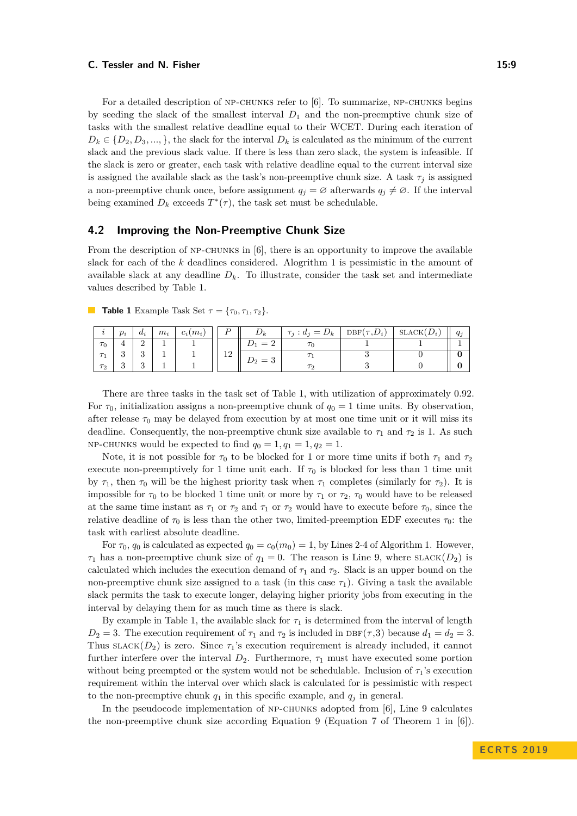For a detailed description of NP-CHUNKS refer to [\[6\]](#page-20-0). To summarize, NP-CHUNKS begins by seeding the slack of the smallest interval *D*<sup>1</sup> and the non-preemptive chunk size of tasks with the smallest relative deadline equal to their WCET. During each iteration of  $D_k \in \{D_2, D_3, \ldots\}$ , the slack for the interval  $D_k$  is calculated as the minimum of the current slack and the previous slack value. If there is less than zero slack, the system is infeasible. If the slack is zero or greater, each task with relative deadline equal to the current interval size is assigned the available slack as the task's non-preemptive chunk size. A task  $\tau_j$  is assigned a non-preemptive chunk once, before assignment  $q_j = \emptyset$  afterwards  $q_j \neq \emptyset$ . If the interval being examined  $D_k$  exceeds  $T^*(\tau)$ , the task set must be schedulable.

### <span id="page-8-0"></span>**4.2 Improving the Non-Preemptive Chunk Size**

From the description of  $NP-CHUNKS$  in  $[6]$ , there is an opportunity to improve the available slack for each of the *k* deadlines considered. Alogrithm [1](#page-7-3) is pessimistic in the amount of available slack at any deadline  $D_k$ . To illustrate, consider the task set and intermediate values described by Table [1.](#page-8-1)

|          | $p_i$ | $a_i$    | $m_i$ | $c_i(m_i)$ |               |          | $\tau_j:d_j=D_k$ | $DBF(\tau, D_i)$ | SLACK(<br>$D_i$ |  |
|----------|-------|----------|-------|------------|---------------|----------|------------------|------------------|-----------------|--|
| $\tau_0$ |       |          |       |            |               | $\equiv$ |                  |                  |                 |  |
| $\tau$   |       | ູ        |       |            | $\Omega$<br>ᆠ |          |                  |                  |                 |  |
| $\tau_2$ |       | $\Omega$ |       |            |               | =        |                  |                  |                 |  |

<span id="page-8-1"></span>**Table 1** Example Task Set  $\tau = {\tau_0, \tau_1, \tau_2}.$ 

There are three tasks in the task set of Table [1,](#page-8-1) with utilization of approximately 0.92. For  $\tau_0$ , initialization assigns a non-preemptive chunk of  $q_0 = 1$  time units. By observation, after release  $\tau_0$  may be delayed from execution by at most one time unit or it will miss its deadline. Consequently, the non-preemptive chunk size available to  $\tau_1$  and  $\tau_2$  is 1. As such NP-CHUNKS would be expected to find  $q_0 = 1, q_1 = 1, q_2 = 1$ .

Note, it is not possible for  $\tau_0$  to be blocked for 1 or more time units if both  $\tau_1$  and  $\tau_2$ execute non-preemptively for 1 time unit each. If  $\tau_0$  is blocked for less than 1 time unit by  $\tau_1$ , then  $\tau_0$  will be the highest priority task when  $\tau_1$  completes (similarly for  $\tau_2$ ). It is impossible for  $\tau_0$  to be blocked 1 time unit or more by  $\tau_1$  or  $\tau_2$ ,  $\tau_0$  would have to be released at the same time instant as  $\tau_1$  or  $\tau_2$  and  $\tau_1$  or  $\tau_2$  would have to execute before  $\tau_0$ , since the relative deadline of  $\tau_0$  is less than the other two, limited-preemption EDF executes  $\tau_0$ : the task with earliest absolute deadline.

For  $\tau_0$ ,  $q_0$  is calculated as expected  $q_0 = c_0(m_0) = 1$ , by Lines [2-4](#page-7-3) of Algorithm [1.](#page-7-3) However, *τ*<sub>1</sub> has a non-preemptive chunk size of  $q_1 = 0$ . The reason is Line [9,](#page-7-3) where SLACK(*D*<sub>2</sub>) is calculated which includes the execution demand of  $\tau_1$  and  $\tau_2$ . Slack is an upper bound on the non-preemptive chunk size assigned to a task (in this case  $\tau_1$ ). Giving a task the available slack permits the task to execute longer, delaying higher priority jobs from executing in the interval by delaying them for as much time as there is slack.

By example in Table [1,](#page-8-1) the available slack for  $\tau_1$  is determined from the interval of length  $D_2 = 3$ . The execution requirement of  $\tau_1$  and  $\tau_2$  is included in DBF( $\tau$ ,3) because  $d_1 = d_2 = 3$ . Thus  $SLACK(D_2)$  is zero. Since  $\tau_1$ 's execution requirement is already included, it cannot further interfere over the interval  $D_2$ . Furthermore,  $\tau_1$  must have executed some portion without being preempted or the system would not be schedulable. Inclusion of  $\tau_1$ 's execution requirement within the interval over which slack is calculated for is pessimistic with respect to the non-preemptive chunk  $q_1$  in this specific example, and  $q_i$  in general.

In the pseudocode implementation of np-chunks adopted from [\[6\]](#page-20-0), Line [9](#page-7-3) calculates the non-preemptive chunk size according Equation [9](#page-9-1) (Equation 7 of Theorem 1 in [\[6\]](#page-20-0)).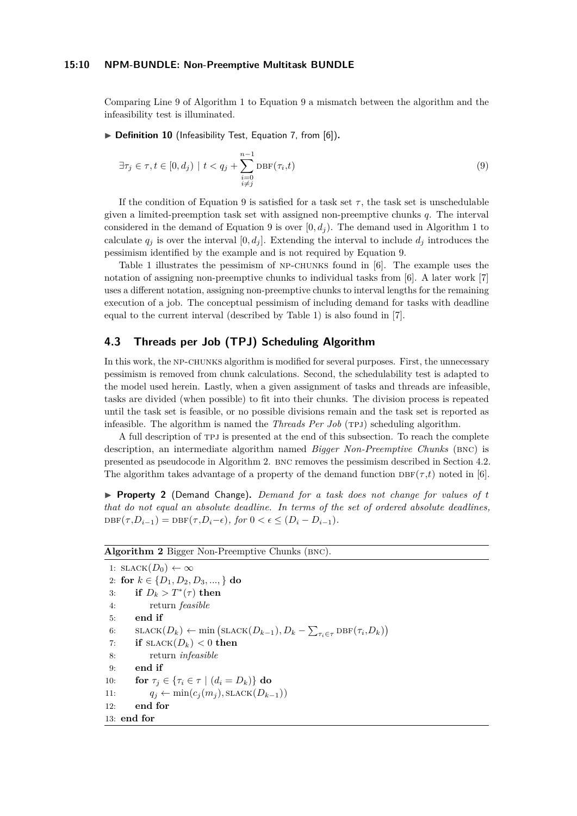#### **15:10 NPM-BUNDLE: Non-Preemptive Multitask BUNDLE**

Comparing Line [9](#page-7-3) of Algorithm [1](#page-7-3) to Equation [9](#page-9-1) a mismatch between the algorithm and the infeasibility test is illuminated.

<span id="page-9-1"></span>▶ **Definition 10** (Infeasibility Test, Equation 7, from [\[6\]](#page-20-0)).

$$
\exists \tau_j \in \tau, t \in [0, d_j) \mid t < q_j + \sum_{\substack{i=0 \\ i \neq j}}^{n-1} \text{DBF}(\tau_i, t) \tag{9}
$$

If the condition of Equation [9](#page-9-1) is satisfied for a task set  $\tau$ , the task set is unschedulable given a limited-preemption task set with assigned non-preemptive chunks *q*. The interval considered in the demand of Equation [9](#page-9-1) is over  $[0, d<sub>j</sub>)$ . The demand used in Algorithm [1](#page-7-3) to calculate  $q_i$  is over the interval  $[0, d_i]$ . Extending the interval to include  $d_i$  introduces the pessimism identified by the example and is not required by Equation [9.](#page-9-1)

Table [1](#page-8-1) illustrates the pessimism of np-chunks found in [\[6\]](#page-20-0). The example uses the notation of assigning non-preemptive chunks to individual tasks from [\[6\]](#page-20-0). A later work [\[7\]](#page-20-8) uses a different notation, assigning non-preemptive chunks to interval lengths for the remaining execution of a job. The conceptual pessimism of including demand for tasks with deadline equal to the current interval (described by Table [1\)](#page-8-1) is also found in [\[7\]](#page-20-8).

## <span id="page-9-0"></span>**4.3 Threads per Job (TPJ) Scheduling Algorithm**

In this work, the NP-CHUNKS algorithm is modified for several purposes. First, the unnecessary pessimism is removed from chunk calculations. Second, the schedulability test is adapted to the model used herein. Lastly, when a given assignment of tasks and threads are infeasible, tasks are divided (when possible) to fit into their chunks. The division process is repeated until the task set is feasible, or no possible divisions remain and the task set is reported as infeasible. The algorithm is named the *Threads Per Job* (TPJ) scheduling algorithm.

A full description of tpj is presented at the end of this subsection. To reach the complete description, an intermediate algorithm named *Bigger Non-Preemptive Chunks* (BNC) is presented as pseudocode in Algorithm [2.](#page-9-2) bnc removes the pessimism described in Section [4.2.](#page-8-0) The algorithm takes advantage of a property of the demand function  $DBF(\tau, t)$  noted in [\[6\]](#page-20-0).

<span id="page-9-3"></span>▶ **Property 2** (Demand Change). *Demand for a task does not change for values of t that do not equal an absolute deadline. In terms of the set of ordered absolute deadlines,*  $DBF(\tau, D_{i-1}) = DBF(\tau, D_i - \epsilon)$ , for  $0 < \epsilon \leq (D_i - D_{i-1})$ .

<span id="page-9-2"></span>

|  |  |  | Algorithm 2 Bigger Non-Preemptive Chunks (BNC). |  |  |
|--|--|--|-------------------------------------------------|--|--|
|--|--|--|-------------------------------------------------|--|--|

1:  $SLACK(D_0) \leftarrow \infty$ 2: **for**  $k \in \{D_1, D_2, D_3, ..., \}$  **do** 3: **if**  $D_k > T^*(\tau)$  then 4: return *feasible* 5: **end if** 6:  $\text{SLACK}(D_k) \leftarrow \min\left(\text{SLACK}(D_{k-1}), D_k - \sum_{\tau_i \in \tau} \text{DBF}(\tau_i, D_k)\right)$ 7: **if**  $SLACK(D_k) < 0$  then 8: return *infeasible* 9: **end if** 10: **for**  $\tau_j \in \{ \tau_i \in \tau \mid (d_i = D_k) \}$  do 11:  $q_j \leftarrow \min(c_j(m_j), \text{SLACK}(D_{k-1}))$ 12: **end for** 13: **end for**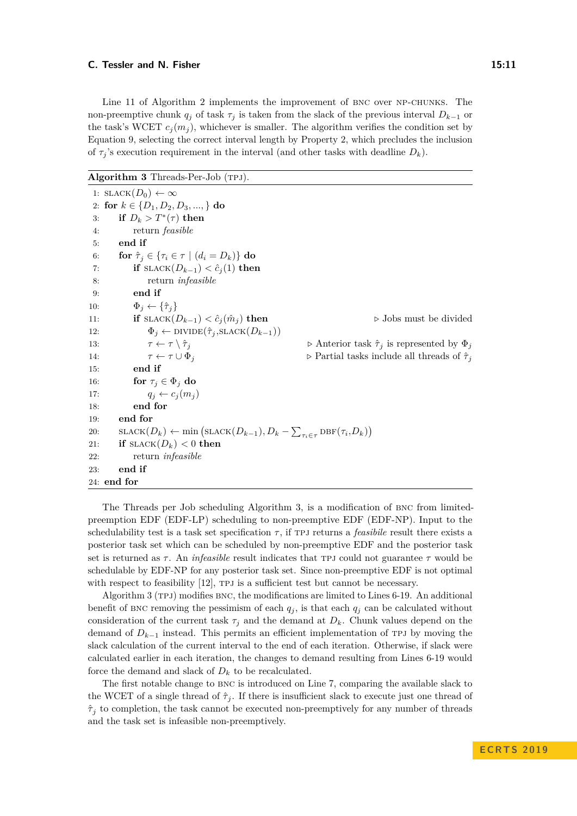Line [11](#page-9-2) of Algorithm [2](#page-9-2) implements the improvement of BNC over NP-CHUNKS. The non-preemptive chunk  $q_j$  of task  $\tau_j$  is taken from the slack of the previous interval  $D_{k-1}$  or the task's WCET  $c_i(m_i)$ , whichever is smaller. The algorithm verifies the condition set by Equation [9,](#page-9-1) selecting the correct interval length by Property [2,](#page-9-3) which precludes the inclusion of  $\tau_j$ 's execution requirement in the interval (and other tasks with deadline  $D_k$ ).

<span id="page-10-0"></span>Algorithm 3 Threads-Per-Job (TPJ).

|     | 1: $SLACK(D_0) \leftarrow \infty$                                                                                           |                                                                          |
|-----|-----------------------------------------------------------------------------------------------------------------------------|--------------------------------------------------------------------------|
|     | 2: for $k \in \{D_1, D_2, D_3, , \}$ do                                                                                     |                                                                          |
| 3:  | if $D_k > T^*(\tau)$ then                                                                                                   |                                                                          |
| 4:  | return <i>feasible</i>                                                                                                      |                                                                          |
| 5:  | end if                                                                                                                      |                                                                          |
| 6:  | for $\hat{\tau}_i \in {\tau_i \in \tau \mid (d_i = D_k)}$ do                                                                |                                                                          |
| 7:  | if $\text{SLACK}(D_{k-1}) < \hat{c}_i(1)$ then                                                                              |                                                                          |
| 8:  | return <i>infeasible</i>                                                                                                    |                                                                          |
| 9:  | end if                                                                                                                      |                                                                          |
| 10: | $\Phi_i \leftarrow {\hat{\tau}_i}$                                                                                          |                                                                          |
| 11: | if $\text{SLACK}(D_{k-1}) < \hat{c}_i(\hat{m}_i)$ then                                                                      | $\triangleright$ Jobs must be divided                                    |
| 12: | $\Phi_j \leftarrow \text{DIVIDE}(\hat{\tau}_j, \text{SLACK}(D_{k-1}))$                                                      |                                                                          |
| 13: | $\tau \leftarrow \tau \setminus \hat{\tau}_i$                                                                               | $\triangleright$ Anterior task $\hat{\tau}_i$ is represented by $\Phi_j$ |
| 14: | $\tau \leftarrow \tau \cup \Phi_i$                                                                                          | $\triangleright$ Partial tasks include all threads of $\hat{\tau}_i$     |
| 15: | end if                                                                                                                      |                                                                          |
| 16: | for $\tau_j \in \Phi_j$ do                                                                                                  |                                                                          |
| 17: | $q_j \leftarrow c_j(m_i)$                                                                                                   |                                                                          |
| 18: | end for                                                                                                                     |                                                                          |
| 19: | end for                                                                                                                     |                                                                          |
| 20: | $\text{SLACK}(D_k) \leftarrow \min\left(\text{SLACK}(D_{k-1}), D_k - \sum_{\tau_i \in \tau} \text{DBF}(\tau_i, D_k)\right)$ |                                                                          |
| 21: | if $\text{SLACK}(D_k) < 0$ then                                                                                             |                                                                          |
| 22: | return <i>infeasible</i>                                                                                                    |                                                                          |
| 23: | end if                                                                                                                      |                                                                          |
|     | 24: end for                                                                                                                 |                                                                          |

The Threads per Job scheduling Algorithm [3,](#page-10-0) is a modification of bnc from limitedpreemption EDF (EDF-LP) scheduling to non-preemptive EDF (EDF-NP). Input to the schedulability test is a task set specification  $\tau$ , if TPJ returns a *feasibile* result there exists a posterior task set which can be scheduled by non-preemptive EDF and the posterior task set is returned as  $\tau$ . An *infeasible* result indicates that TPJ could not guarantee  $\tau$  would be schedulable by EDF-NP for any posterior task set. Since non-preemptive EDF is not optimal with respect to feasibility [\[12\]](#page-21-14), TPJ is a sufficient test but cannot be necessary.

Algorithm [3](#page-10-0) (TPJ) modifies BNC, the modifications are limited to Lines [6-19.](#page-10-0) An additional benefit of BNC removing the pessimism of each  $q_j$ , is that each  $q_j$  can be calculated without consideration of the current task  $\tau_j$  and the demand at  $D_k$ . Chunk values depend on the demand of  $D_{k-1}$  instead. This permits an efficient implementation of TPJ by moving the slack calculation of the current interval to the end of each iteration. Otherwise, if slack were calculated earlier in each iteration, the changes to demand resulting from Lines [6-19](#page-10-0) would force the demand and slack of  $D_k$  to be recalculated.

The first notable change to bnc is introduced on Line [7,](#page-10-0) comparing the available slack to the WCET of a single thread of  $\hat{\tau}_j$ . If there is insufficient slack to execute just one thread of  $\hat{\tau}_j$  to completion, the task cannot be executed non-preemptively for any number of threads and the task set is infeasible non-preemptively.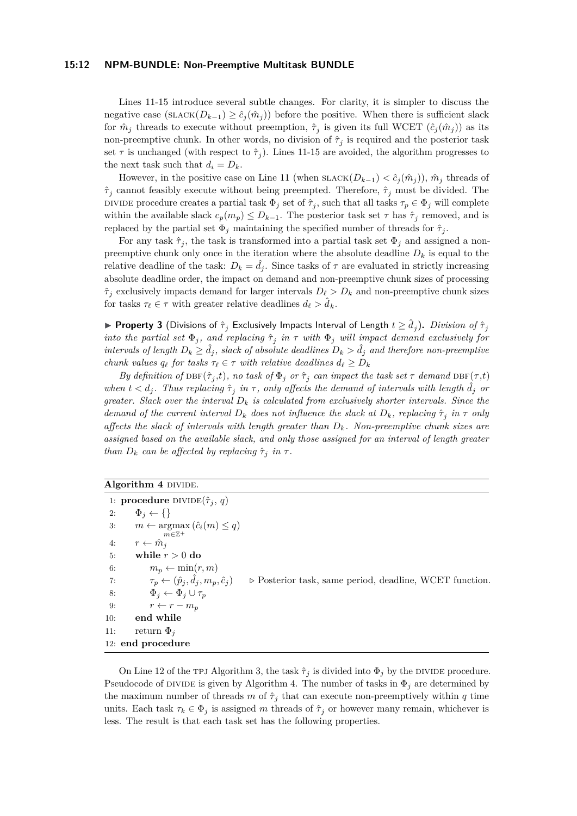Lines [11-15](#page-10-0) introduce several subtle changes. For clarity, it is simpler to discuss the negative case  $(SLACK(D_{k-1}) \geq \hat{c}_i(\hat{m}_i))$  before the positive. When there is sufficient slack for  $\hat{m}_j$  threads to execute without preemption,  $\hat{\tau}_j$  is given its full WCET  $(\hat{c}_j(\hat{m}_j))$  as its non-preemptive chunk. In other words, no division of  $\hat{\tau}_j$  is required and the posterior task set  $\tau$  is unchanged (with respect to  $\hat{\tau}_j$ ). Lines [11-15](#page-10-0) are avoided, the algorithm progresses to the next task such that  $d_i = D_k$ .

However, in the positive case on Line [11](#page-10-0) (when  $SLACK(D_{k-1}) < \hat{c}_i(\hat{m}_i)$ ),  $\hat{m}_i$  threads of  $\hat{\tau}_i$  cannot feasibly execute without being preempted. Therefore,  $\hat{\tau}_i$  must be divided. The DIVIDE procedure creates a partial task  $\Phi_j$  set of  $\hat{\tau}_j$ , such that all tasks  $\tau_p \in \Phi_j$  will complete within the available slack  $c_p(m_p) \leq D_{k-1}$ . The posterior task set  $\tau$  has  $\hat{\tau}_j$  removed, and is replaced by the partial set  $\Phi_j$  maintaining the specified number of threads for  $\hat{\tau}_j$ .

For any task  $\hat{\tau}_j$ , the task is transformed into a partial task set  $\Phi_j$  and assigned a nonpreemptive chunk only once in the iteration where the absolute deadline  $D_k$  is equal to the relative deadline of the task:  $D_k = d_j$ . Since tasks of  $\tau$  are evaluated in strictly increasing absolute deadline order, the impact on demand and non-preemptive chunk sizes of processing  $\hat{\tau}_i$  exclusively impacts demand for larger intervals  $D_\ell > D_k$  and non-preemptive chunk sizes for tasks  $\tau_{\ell} \in \tau$  with greater relative deadlines  $d_{\ell} > \hat{d}_k$ .

<span id="page-11-2"></span> $\blacktriangleright$  **Property 3** (Divisions of  $\hat{\tau}_j$  Exclusively Impacts Interval of Length  $t \geq \hat{d}_j$ ). *Division of*  $\hat{\tau}_j$ *into the partial set*  $\Phi_j$ , and replacing  $\hat{\tau}_j$  in  $\tau$  with  $\Phi_j$  will impact demand exclusively for *intervals of length*  $D_k \geq d_j$ , *slack of absolute deadlines*  $D_k > d_j$  *and therefore non-preemptive chunk values*  $q_\ell$  *for tasks*  $\tau_\ell \in \tau$  *with relative deadlines*  $d_\ell \geq D_k$ 

*By definition of*  $DBF(\hat{\tau}_j,t)$ *, no task of*  $\Phi_j$  *or*  $\hat{\tau}_j$  *can impact the task set*  $\tau$  *demand*  $DBF(\tau,t)$ *when*  $t < d_j$ . Thus replacing  $\hat{\tau}_j$  in  $\tau$ , only affects the demand of intervals with length  $\hat{d}_j$  or *greater. Slack over the interval*  $D_k$  *is calculated from exclusively shorter intervals. Since the demand of the current interval*  $D_k$  *does not influence the slack at*  $D_k$ *, replacing*  $\hat{\tau}_j$  *in*  $\tau$  *only affects the slack of intervals with length greater than Dk. Non-preemptive chunk sizes are assigned based on the available slack, and only those assigned for an interval of length greater than*  $D_k$  *can be affected by replacing*  $\hat{\tau}_j$  *in*  $\tau$ *.* 

```
Algorithm 4 DIVIDE.
```

```
1: procedure \text{DIVIDE}(\hat{\tau}_j, q)2: \Phi_j \leftarrow \{\}3: m \leftarrow \operatorname{argmax} (\hat{c}_i(m) \leq q)m∈\mathbb{Z}^+4: r \leftarrow \hat{m}_i5: while r > 0 do
 6: m_n \leftarrow \min(r, m)7: \tau_p \leftarrow (\hat{p}_j, \hat{d}_j, m_p, \hat{c}_j)▷ Posterior task, same period, deadline, WCET function.
 8: \Phi_j \leftarrow \Phi_j \cup \tau_p9: r \leftarrow r - m_p10: end while
11: return \Phi_i12: end procedure
```
<span id="page-11-1"></span>On Line [12](#page-10-0) of the TPJ Algorithm [3,](#page-10-0) the task  $\hat{\tau}_j$  is divided into  $\Phi_j$  by the DIVIDE procedure. Pseudocode of DIVIDE is given by Algorithm [4.](#page-11-0) The number of tasks in  $\Phi_j$  are determined by the maximum number of threads *m* of  $\hat{\tau}_j$  that can execute non-preemptively within *q* time units. Each task  $\tau_k \in \Phi_j$  is assigned *m* threads of  $\hat{\tau}_j$  or however many remain, whichever is less. The result is that each task set has the following properties.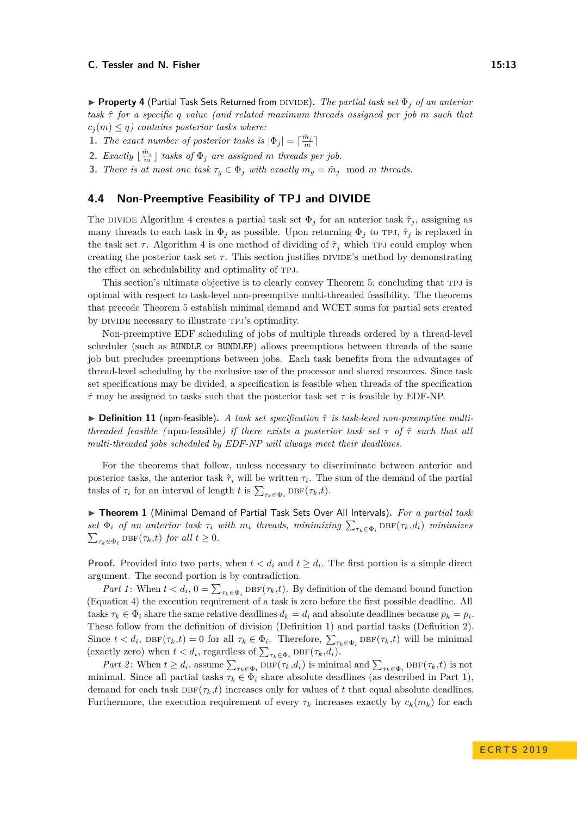I **Property 4** (Partial Task Sets Returned from divide)**.** *The partial task set* Φ*<sup>j</sup> of an anterior task τ*ˆ *for a specific q value (and related maximum threads assigned per job m such that*  $c_i(m) \leq q$  contains posterior tasks where:

**1.** *The exact number of posterior tasks is*  $|\Phi_j| = \lceil \frac{\hat{m}_j}{m} \rceil$ 

**2.** *Exactly*  $\lfloor \frac{\hat{m}_j}{m} \rfloor$  *tasks of*  $\Phi_j$  *are assigned m threads per job.* 

**3.** *There is at most one task*  $\tau_q \in \Phi_j$  *with exactly*  $m_q = \hat{m}_j$  mod *m threads.* 

## <span id="page-12-0"></span>**4.4 Non-Preemptive Feasibility of TPJ and DIVIDE**

The DIVIDE Algorithm [4](#page-11-0) creates a partial task set  $\Phi_j$  for an anterior task  $\hat{\tau}_j$ , assigning as many threads to each task in  $\Phi_j$  as possible. Upon returning  $\Phi_j$  to TPJ,  $\hat{\tau}_j$  is replaced in the task set  $\tau$ . Algorithm [4](#page-11-0) is one method of dividing of  $\hat{\tau}_j$  which TPJ could employ when creating the posterior task set  $\tau$ . This section justifies DIVIDE's method by demonstrating the effect on schedulability and optimality of TPJ.

This section's ultimate objective is to clearly convey Theorem [5;](#page-14-0) concluding that tpj is optimal with respect to task-level non-preemptive multi-threaded feasibility. The theorems that precede Theorem [5](#page-14-0) establish minimal demand and WCET sums for partial sets created by DIVIDE necessary to illustrate TPJ's optimality.

Non-preemptive EDF scheduling of jobs of multiple threads ordered by a thread-level scheduler (such as BUNDLE or BUNDLEP) allows preemptions between threads of the same job but precludes preemptions between jobs. Each task benefits from the advantages of thread-level scheduling by the exclusive use of the processor and shared resources. Since task set specifications may be divided, a specification is feasible when threads of the specification  $\hat{\tau}$  may be assigned to tasks such that the posterior task set  $\tau$  is feasible by EDF-NP.

I **Definition 11** (npm-feasible)**.** *A task set specification τ*ˆ *is task-level non-preemptive multithreaded feasible (*npm-feasible*) if there exists a posterior task set τ of τ*ˆ *such that all multi-threaded jobs scheduled by EDF-NP will always meet their deadlines.*

For the theorems that follow, unless necessary to discriminate between anterior and posterior tasks, the anterior task  $\hat{\tau}_i$  will be written  $\tau_i$ . The sum of the demand of the partial tasks of  $\tau_i$  for an interval of length *t* is  $\sum_{\tau_k \in \Phi_i} \text{DBF}(\tau_k, t)$ .

<span id="page-12-1"></span>I **Theorem 1** (Minimal Demand of Partial Task Sets Over All Intervals)**.** *For a partial task set*  $\Phi_i$  *of an anterior task*  $\tau_i$  *with*  $m_i$  *threads, minimizing*  $\sum_{\tau_k \in \Phi_i} \text{DBF}(\tau_k, d_i)$  *minimizes*  $\sum_{\tau_k \in \Phi_i} \text{DBF}(\tau_k, t)$  *for all*  $t \geq 0$ *.* 

**Proof.** Provided into two parts, when  $t < d_i$  and  $t \geq d_i$ . The first portion is a simple direct argument. The second portion is by contradiction.

*Part 1*: When  $t < d_i$ ,  $0 = \sum_{\tau_k \in \Phi_i} \text{DBF}(\tau_k, t)$ . By definition of the demand bound function (Equation [4\)](#page-6-2) the execution requirement of a task is zero before the first possible deadline. All tasks  $\tau_k \in \Phi_i$  share the same relative deadlines  $d_k = d_i$  and absolute deadlines because  $p_k = p_i$ . These follow from the definition of division (Definition [1\)](#page-4-1) and partial tasks (Definition [2\)](#page-4-2). Since  $t < d_i$ ,  $DEF(\tau_k, t) = 0$  for all  $\tau_k \in \Phi_i$ . Therefore,  $\sum_{\tau_k \in \Phi_i} DEF(\tau_k, t)$  will be minimal (exactly zero) when  $t < d_i$ , regardless of  $\sum_{\tau_k \in \Phi_i} \text{DBF}(\tau_k, d_i)$ .

*Part 2*: When  $t \geq d_i$ , assume  $\sum_{\tau_k \in \Phi_i} \text{DBF}(\tau_k, d_i)$  is minimal and  $\sum_{\tau_k \in \Phi_i} \text{DBF}(\tau_k, t)$  is not minimal. Since all partial tasks  $\tau_k \in \Phi_i$  share absolute deadlines (as described in Part 1), demand for each task  $\text{DBF}(\tau_k, t)$  increases only for values of t that equal absolute deadlines. Furthermore, the execution requirement of every  $\tau_k$  increases exactly by  $c_k(m_k)$  for each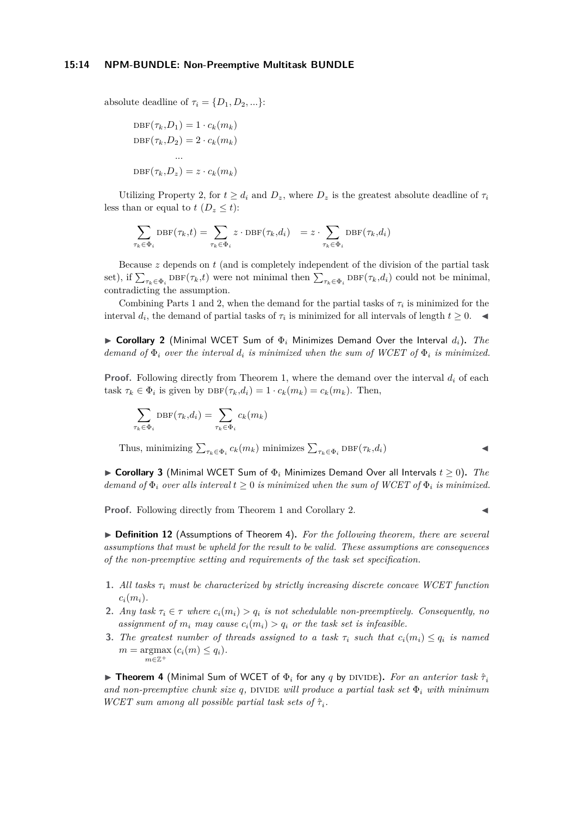absolute deadline of  $\tau_i = \{D_1, D_2, ...\}$ :

$$
DBF(\tau_k, D_1) = 1 \cdot c_k(m_k)
$$
  

$$
DBF(\tau_k, D_2) = 2 \cdot c_k(m_k)
$$
  
...  

$$
DBF(\tau_k, D_z) = z \cdot c_k(m_k)
$$

Utilizing Property [2,](#page-9-3) for  $t \geq d_i$  and  $D_z$ , where  $D_z$  is the greatest absolute deadline of  $\tau_i$ less than or equal to  $t$  ( $D_z \leq t$ ):

$$
\sum_{\tau_k \in \Phi_i} \text{DBF}(\tau_k, t) = \sum_{\tau_k \in \Phi_i} z \cdot \text{DBF}(\tau_k, d_i) = z \cdot \sum_{\tau_k \in \Phi_i} \text{DBF}(\tau_k, d_i)
$$

Because *z* depends on *t* (and is completely independent of the division of the partial task set), if  $\sum_{\tau_k \in \Phi_i} \text{DBF}(\tau_k, t)$  were not minimal then  $\sum_{\tau_k \in \Phi_i} \text{DBF}(\tau_k, d_i)$  could not be minimal, contradicting the assumption.

Combining Parts 1 and 2, when the demand for the partial tasks of  $\tau_i$  is minimized for the interval  $d_i$ , the demand of partial tasks of  $\tau_i$  is minimized for all intervals of length  $t \geq 0$ .

<span id="page-13-0"></span>I **Corollary 2** (Minimal WCET Sum of Φ*<sup>i</sup>* Minimizes Demand Over the Interval *di*)**.** *The demand of*  $\Phi_i$  *over the interval d<sub>i</sub> is minimized when the sum of WCET of*  $\Phi_i$  *is minimized.* 

**Proof.** Following directly from Theorem [1,](#page-12-1) where the demand over the interval *d<sup>i</sup>* of each task  $\tau_k \in \Phi_i$  is given by  $\text{DBF}(\tau_k, d_i) = 1 \cdot c_k(m_k) = c_k(m_k)$ . Then,

$$
\sum_{\tau_k \in \Phi_i} \text{DBF}(\tau_k, d_i) = \sum_{\tau_k \in \Phi_i} c_k(m_k)
$$

Thus, minimizing  $\sum_{\tau_k \in \Phi_i} c_k(m_k)$  minimizes  $\sum_{\tau_k \in \Phi_i} \text{DBF}(\tau_k, d_i)$ 

**► Corollary 3** (Minimal WCET Sum of  $\Phi$ <sub>*i*</sub> Minimizes Demand Over all Intervals  $t > 0$ ). *The demand of*  $\Phi_i$  *over alls interval*  $t \geq 0$  *is minimized when the sum of WCET of*  $\Phi_i$  *is minimized.* 

**Proof.** Following directly from Theorem [1](#page-12-1) and Corollary [2.](#page-13-0)

<span id="page-13-2"></span>▶ **Definition 12** (Assumptions of Theorem [4\)](#page-13-1). For the following theorem, there are several *assumptions that must be upheld for the result to be valid. These assumptions are consequences of the non-preemptive setting and requirements of the task set specification.*

- **1.** *All tasks τ<sup>i</sup> must be characterized by strictly increasing discrete concave WCET function*  $c_i(m_i)$ .
- **2.** *Any task*  $\tau_i \in \tau$  *where*  $c_i(m_i) > q_i$  *is not schedulable non-preemptively. Consequently, no* assignment of  $m_i$  may cause  $c_i(m_i) > q_i$  or the task set is infeasible.
- **3.** The greatest number of threads assigned to a task  $\tau_i$  such that  $c_i(m_i) \leq q_i$  is named  $m = \operatorname{argmax}(c_i(m) \leq q_i).$ *m*∈Z<sup>+</sup>

<span id="page-13-1"></span>**If Theorem 4** (Minimal Sum of WCET of  $\Phi_i$  for any *q* by DIVIDE). For an anterior task  $\hat{\tau}_i$ *and non-preemptive chunk size*  $q$ , DIVIDE *will produce a partial task set*  $\Phi_i$  *with minimum WCET sum among all possible partial task sets of*  $\hat{\tau}_i$ .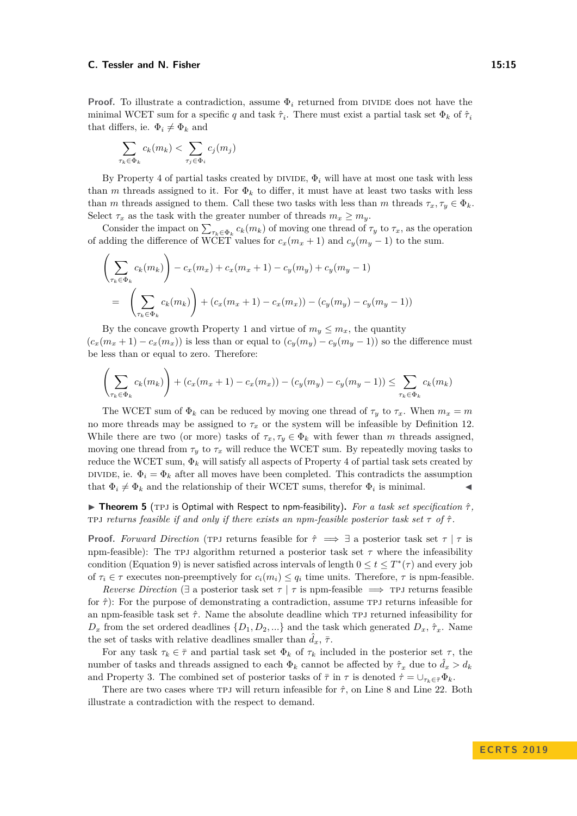**Proof.** To illustrate a contradiction, assume  $\Phi_i$  returned from DIVIDE does not have the minimal WCET sum for a specific *q* and task  $\hat{\tau}_i$ . There must exist a partial task set  $\Phi_k$  of  $\hat{\tau}_i$ that differs, ie.  $\Phi_i \neq \Phi_k$  and

$$
\sum_{\tau_k \in \Phi_k} c_k(m_k) < \sum_{\tau_j \in \Phi_i} c_j(m_j)
$$

By Property [4](#page-11-1) of partial tasks created by DIVIDE,  $\Phi_i$  will have at most one task with less than *m* threads assigned to it. For  $\Phi_k$  to differ, it must have at least two tasks with less than *m* threads assigned to them. Call these two tasks with less than *m* threads  $\tau_x, \tau_y \in \Phi_k$ . Select  $\tau_x$  as the task with the greater number of threads  $m_x \ge m_y$ .

Consider the impact on  $\sum_{\tau_k \in \Phi_k} c_k(m_k)$  of moving one thread of  $\tau_y$  to  $\tau_x$ , as the operation of adding the difference of WCET values for  $c_x(m_x + 1)$  and  $c_y(m_y - 1)$  to the sum.

$$
\left(\sum_{\tau_k \in \Phi_k} c_k(m_k)\right) - c_x(m_x) + c_x(m_x + 1) - c_y(m_y) + c_y(m_y - 1)
$$
  
= 
$$
\left(\sum_{\tau_k \in \Phi_k} c_k(m_k)\right) + (c_x(m_x + 1) - c_x(m_x)) - (c_y(m_y) - c_y(m_y - 1))
$$

By the concave growth Property [1](#page-5-1) and virtue of  $m_y \leq m_x$ , the quantity  $(c_x(m_x+1) - c_x(m_x))$  is less than or equal to  $(c_y(m_y) - c_y(m_y-1))$  so the difference must be less than or equal to zero. Therefore:

$$
\left(\sum_{\tau_k \in \Phi_k} c_k(m_k)\right) + \left(c_x(m_x + 1) - c_x(m_x)\right) - \left(c_y(m_y) - c_y(m_y - 1)\right) \le \sum_{\tau_k \in \Phi_k} c_k(m_k)
$$

The WCET sum of  $\Phi_k$  can be reduced by moving one thread of  $\tau_y$  to  $\tau_x$ . When  $m_x = m$ no more threads may be assigned to  $\tau_x$  or the system will be infeasible by Definition [12.](#page-13-2) While there are two (or more) tasks of  $\tau_x, \tau_y \in \Phi_k$  with fewer than *m* threads assigned, moving one thread from  $\tau_y$  to  $\tau_x$  will reduce the WCET sum. By repeatedly moving tasks to reduce the WCET sum,  $\Phi_k$  will satisfy all aspects of Property [4](#page-11-1) of partial task sets created by DIVIDE, ie.  $\Phi_i = \Phi_k$  after all moves have been completed. This contradicts the assumption that  $\Phi_i \neq \Phi_k$  and the relationship of their WCET sums, therefor  $\Phi_i$  is minimal.

<span id="page-14-0"></span>**Figure 1 Theorem 5** (TPJ is Optimal with Respect to npm-feasibility). *For a task set specification*  $\hat{\tau}$ *,* TPJ returns feasible if and only if there exists an npm-feasible posterior task set  $\tau$  of  $\hat{\tau}$ .

**Proof.** *Forward Direction* (TPJ returns feasible for  $\hat{\tau} \implies \exists$  a posterior task set  $\tau | \tau$  is npm-feasible): The TPJ algorithm returned a posterior task set  $\tau$  where the infeasibility condition (Equation [9\)](#page-9-1) is never satisfied across intervals of length  $0 \le t \le T^*(\tau)$  and every job of  $\tau_i \in \tau$  executes non-preemptively for  $c_i(m_i) \leq q_i$  time units. Therefore,  $\tau$  is npm-feasible.

*Reverse Direction* ( $\exists$  a posterior task set  $\tau | \tau$  is npm-feasible  $\implies$  TPJ returns feasible for *τ*ˆ): For the purpose of demonstrating a contradiction, assume tpj returns infeasible for an npm-feasible task set  $\hat{\tau}$ . Name the absolute deadline which TPJ returned infeasibility for  $D_x$  from the set ordered deadlines  $\{D_1, D_2, ...\}$  and the task which generated  $D_x, \hat{\tau}_x$ . Name the set of tasks with relative deadlines smaller than  $\tilde{d}_x$ ,  $\bar{\tau}$ .

For any task  $\tau_k \in \bar{\tau}$  and partial task set  $\Phi_k$  of  $\tau_k$  included in the posterior set  $\tau$ , the number of tasks and threads assigned to each  $\Phi_k$  cannot be affected by  $\hat{\tau}_x$  due to  $\hat{d}_x > d_k$ and Property [3.](#page-11-2) The combined set of posterior tasks of  $\bar{\tau}$  in  $\tau$  is denoted  $\dot{\tau} = \bigcup_{\tau_k \in \bar{\tau}} \Phi_k$ .

There are two cases where tpj will return infeasible for *τ*ˆ, on Line [8](#page-10-0) and Line [22.](#page-10-0) Both illustrate a contradiction with the respect to demand.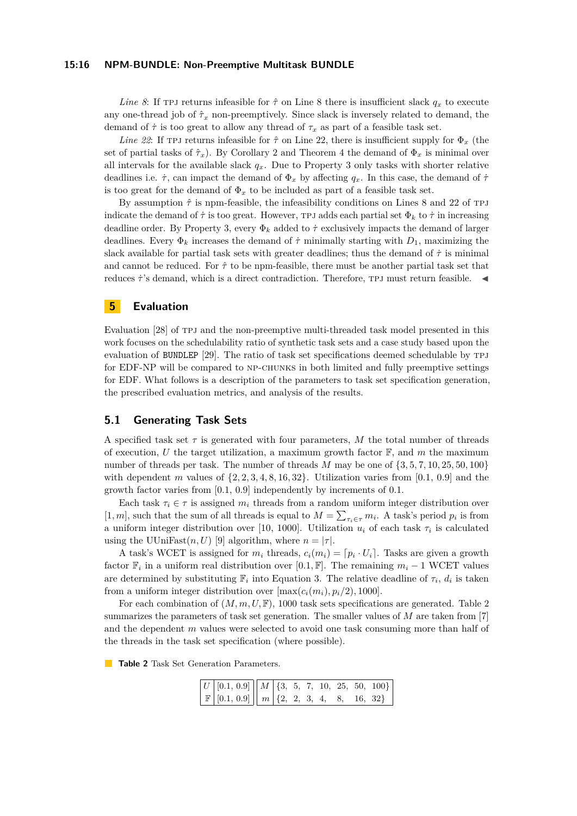*Line* [8](#page-10-0): If the returns infeasible for  $\hat{\tau}$  on Line 8 there is insufficient slack  $q_x$  to execute any one-thread job of  $\hat{\tau}_x$  non-preemptively. Since slack is inversely related to demand, the demand of  $\tau$  is too great to allow any thread of  $\tau_x$  as part of a feasible task set.

*Line* [22](#page-10-0): If TPJ returns infeasible for  $\hat{\tau}$  on Line [22,](#page-10-0) there is insufficient supply for  $\Phi_x$  (the set of partial tasks of  $\hat{\tau}_x$ ). By Corollary [2](#page-13-0) and Theorem [4](#page-13-1) the demand of  $\Phi_x$  is minimal over all intervals for the available slack  $q_x$ . Due to Property [3](#page-11-2) only tasks with shorter relative deadlines i.e.  $\dot{\tau}$ , can impact the demand of  $\Phi_x$  by affecting  $q_x$ . In this case, the demand of  $\dot{\tau}$ is too great for the demand of  $\Phi_x$  to be included as part of a feasible task set.

By assumption  $\hat{\tau}$  is npm-feasible, the infeasibility conditions on Lines [8](#page-10-0) and [22](#page-10-0) of TPJ indicate the demand of  $\tau$  is too great. However, TPJ adds each partial set  $\Phi_k$  to  $\tau$  in increasing deadline order. By Property [3,](#page-11-2) every  $\Phi_k$  added to  $\dot{\tau}$  exclusively impacts the demand of larger deadlines. Every  $\Phi_k$  increases the demand of  $\tau$  minimally starting with  $D_1$ , maximizing the slack available for partial task sets with greater deadlines; thus the demand of  $\tau$  is minimal and cannot be reduced. For  $\hat{\tau}$  to be npm-feasible, there must be another partial task set that reduces  $\dot{\tau}$ 's demand, which is a direct contradiction. Therefore, TPJ must return feasible.  $\blacktriangleleft$ 

## <span id="page-15-0"></span>**5 Evaluation**

Evaluation [\[28\]](#page-22-3) of TPJ and the non-preemptive multi-threaded task model presented in this work focuses on the schedulability ratio of synthetic task sets and a case study based upon the evaluation of BUNDLEP [\[29\]](#page-22-8). The ratio of task set specifications deemed schedulable by tpj for EDF-NP will be compared to np-chunks in both limited and fully preemptive settings for EDF. What follows is a description of the parameters to task set specification generation, the prescribed evaluation metrics, and analysis of the results.

## **5.1 Generating Task Sets**

A specified task set  $\tau$  is generated with four parameters, M the total number of threads of execution, *U* the target utilization, a maximum growth factor  $\mathbb{F}$ , and *m* the maximum number of threads per task. The number of threads *M* may be one of {3*,* 5*,* 7*,* 10*,* 25*,* 50*,* 100} with dependent *m* values of  $\{2, 2, 3, 4, 8, 16, 32\}$ . Utilization varies from [0.1, 0.9] and the growth factor varies from [0.1, 0.9] independently by increments of 0.1.

Each task  $\tau_i \in \tau$  is assigned  $m_i$  threads from a random uniform integer distribution over [1, *m*], such that the sum of all threads is equal to  $M = \sum_{\tau_i \in \tau} m_i$ . A task's period  $p_i$  is from a uniform integer distribution over [10, 1000]. Utilization  $u_i$  of each task  $\tau_i$  is calculated using the UUniFast $(n, U)$  [\[9\]](#page-21-16) algorithm, where  $n = |\tau|$ .

A task's WCET is assigned for  $m_i$  threads,  $c_i(m_i) = [p_i \cdot U_i]$ . Tasks are given a growth factor  $\mathbb{F}_i$  in a uniform real distribution over [0.1*,*  $\mathbb{F}$ ]. The remaining  $m_i - 1$  WCET values are determined by substituting  $\mathbb{F}_i$  into Equation [3.](#page-6-1) The relative deadline of  $\tau_i$ ,  $d_i$  is taken from a uniform integer distribution over  $[\max(c_i(m_i), p_i/2), 1000]$ .

For each combination of  $(M, m, U, \mathbb{F})$ , 1000 task sets specifications are generated. Table [2](#page-15-1) summarizes the parameters of task set generation. The smaller values of *M* are taken from [\[7\]](#page-20-8) and the dependent *m* values were selected to avoid one task consuming more than half of the threads in the task set specification (where possible).

<span id="page-15-1"></span>**Table 2** Task Set Generation Parameters.

|  | $\boxed{U$ [0.1, 0.9] $\boxed{M}$ {3, 5, 7, 10, 25, 50, 100} |  |  |  |  |
|--|--------------------------------------------------------------|--|--|--|--|
|  | $\mathbb{F}$ [0.1, 0.9] $\ m\ $ {2, 2, 3, 4, 8, 16, 32}      |  |  |  |  |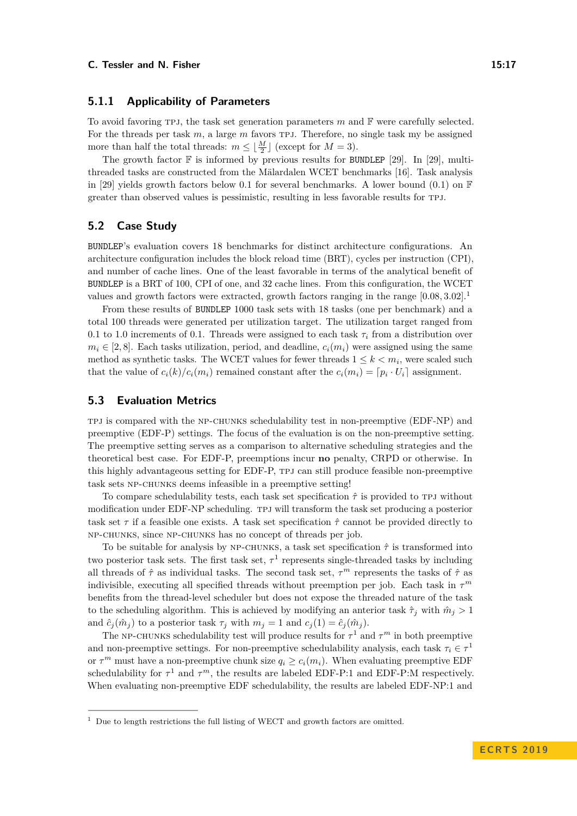## **5.1.1 Applicability of Parameters**

To avoid favoring tpj, the task set generation parameters *m* and F were carefully selected. For the threads per task *m*, a large *m* favors tpj. Therefore, no single task my be assigned more than half the total threads:  $m \leq \lfloor \frac{M}{2} \rfloor$  (except for  $M = 3$ ).

The growth factor  $\mathbb F$  is informed by previous results for BUNDLEP [\[29\]](#page-22-8). In [29], multithreaded tasks are constructed from the Mälardalen WCET benchmarks [\[16\]](#page-21-17). Task analysis in [\[29\]](#page-22-8) yields growth factors below 0.1 for several benchmarks. A lower bound (0.1) on  $\mathbb F$ greater than observed values is pessimistic, resulting in less favorable results for tpj.

## **5.2 Case Study**

BUNDLEP's evaluation covers 18 benchmarks for distinct architecture configurations. An architecture configuration includes the block reload time (BRT), cycles per instruction (CPI), and number of cache lines. One of the least favorable in terms of the analytical benefit of BUNDLEP is a BRT of 100, CPI of one, and 32 cache lines. From this configuration, the WCET values and growth factors were extracted, growth factors ranging in the range [0*.*08*,* 3*.*02]. [1](#page-16-0)

From these results of BUNDLEP 1000 task sets with 18 tasks (one per benchmark) and a total 100 threads were generated per utilization target. The utilization target ranged from 0.1 to 1.0 increments of 0.1. Threads were assigned to each task *τ<sup>i</sup>* from a distribution over  $m_i \in [2, 8]$ . Each tasks utilization, period, and deadline,  $c_i(m_i)$  were assigned using the same method as synthetic tasks. The WCET values for fewer threads  $1 \leq k \leq m_i$ , were scaled such that the value of  $c_i(k)/c_i(m_i)$  remained constant after the  $c_i(m_i) = [p_i \cdot U_i]$  assignment.

## **5.3 Evaluation Metrics**

TPJ is compared with the NP-CHUNKS schedulability test in non-preemptive (EDF-NP) and preemptive (EDF-P) settings. The focus of the evaluation is on the non-preemptive setting. The preemptive setting serves as a comparison to alternative scheduling strategies and the theoretical best case. For EDF-P, preemptions incur **no** penalty, CRPD or otherwise. In this highly advantageous setting for EDF-P, tpj can still produce feasible non-preemptive task sets np-chunks deems infeasible in a preemptive setting!

To compare schedulability tests, each task set specification *τ*ˆ is provided to tpj without modification under EDF-NP scheduling. tpj will transform the task set producing a posterior task set  $\tau$  if a feasible one exists. A task set specification  $\hat{\tau}$  cannot be provided directly to np-chunks, since np-chunks has no concept of threads per job.

To be suitable for analysis by NP-CHUNKS, a task set specification  $\hat{\tau}$  is transformed into two posterior task sets. The first task set,  $\tau^1$  represents single-threaded tasks by including all threads of  $\hat{\tau}$  as individual tasks. The second task set,  $\tau^m$  represents the tasks of  $\hat{\tau}$  as indivisible, executing all specified threads without preemption per job. Each task in  $\tau^m$ benefits from the thread-level scheduler but does not expose the threaded nature of the task to the scheduling algorithm. This is achieved by modifying an anterior task  $\hat{\tau}_i$  with  $\hat{m}_i > 1$ and  $\hat{c}_i(\hat{m}_i)$  to a posterior task  $\tau_i$  with  $m_i = 1$  and  $c_i(1) = \hat{c}_i(\hat{m}_i)$ .

The NP-CHUNKS schedulability test will produce results for  $\tau^1$  and  $\tau^m$  in both preemptive and non-preemptive settings. For non-preemptive schedulability analysis, each task  $\tau_i \in \tau^1$ or  $\tau^m$  must have a non-preemptive chunk size  $q_i \geq c_i(m_i)$ . When evaluating preemptive EDF schedulability for  $\tau^1$  and  $\tau^m$ , the results are labeled EDF-P:1 and EDF-P:M respectively. When evaluating non-preemptive EDF schedulability, the results are labeled EDF-NP:1 and

<span id="page-16-0"></span> $^{\rm 1}$  Due to length restrictions the full listing of WECT and growth factors are omitted.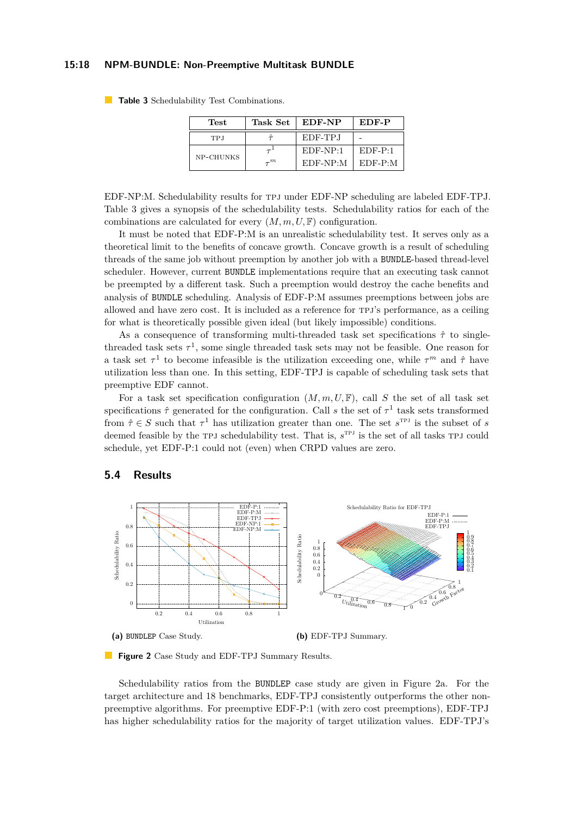#### **15:18 NPM-BUNDLE: Non-Preemptive Multitask BUNDLE**

| Test      | Task Set | EDF-NP     | EDF-P      |  |
|-----------|----------|------------|------------|--|
| TPJ       |          | EDF-TPJ    |            |  |
|           |          | $EDF-NP:1$ | $EDF-P:1$  |  |
| NP-CHUNKS | $\tau^m$ | $EDF-NP:M$ | $EDF-P: M$ |  |

<span id="page-17-0"></span>**Table 3** Schedulability Test Combinations.

EDF-NP:M. Schedulability results for tpj under EDF-NP scheduling are labeled EDF-TPJ. Table [3](#page-17-0) gives a synopsis of the schedulability tests. Schedulability ratios for each of the combinations are calculated for every  $(M, m, U, \mathbb{F})$  configuration.

It must be noted that EDF-P:M is an unrealistic schedulability test. It serves only as a theoretical limit to the benefits of concave growth. Concave growth is a result of scheduling threads of the same job without preemption by another job with a BUNDLE-based thread-level scheduler. However, current BUNDLE implementations require that an executing task cannot be preempted by a different task. Such a preemption would destroy the cache benefits and analysis of BUNDLE scheduling. Analysis of EDF-P:M assumes preemptions between jobs are allowed and have zero cost. It is included as a reference for tpj's performance, as a ceiling for what is theoretically possible given ideal (but likely impossible) conditions.

As a consequence of transforming multi-threaded task set specifications *τ*ˆ to singlethreaded task sets  $\tau^1$ , some single threaded task sets may not be feasible. One reason for a task set  $\tau^1$  to become infeasible is the utilization exceeding one, while  $\tau^m$  and  $\hat{\tau}$  have utilization less than one. In this setting, EDF-TPJ is capable of scheduling task sets that preemptive EDF cannot.

For a task set specification configuration  $(M, m, U, \mathbb{F})$ , call *S* the set of all task set specifications  $\hat{\tau}$  generated for the configuration. Call *s* the set of  $\tau^1$  task sets transformed from  $\hat{\tau} \in S$  such that  $\tau^1$  has utilization greater than one. The set  $s^{\text{TPJ}}$  is the subset of *s* deemed feasible by the TPJ schedulability test. That is,  $s^{TPJ}$  is the set of all tasks TPJ could schedule, yet EDF-P:1 could not (even) when CRPD values are zero.

<span id="page-17-1"></span>

## **5.4 Results**



Schedulability ratios from the BUNDLEP case study are given in Figure [2a.](#page-17-1) For the target architecture and 18 benchmarks, EDF-TPJ consistently outperforms the other nonpreemptive algorithms. For preemptive EDF-P:1 (with zero cost preemptions), EDF-TPJ has higher schedulability ratios for the majority of target utilization values. EDF-TPJ's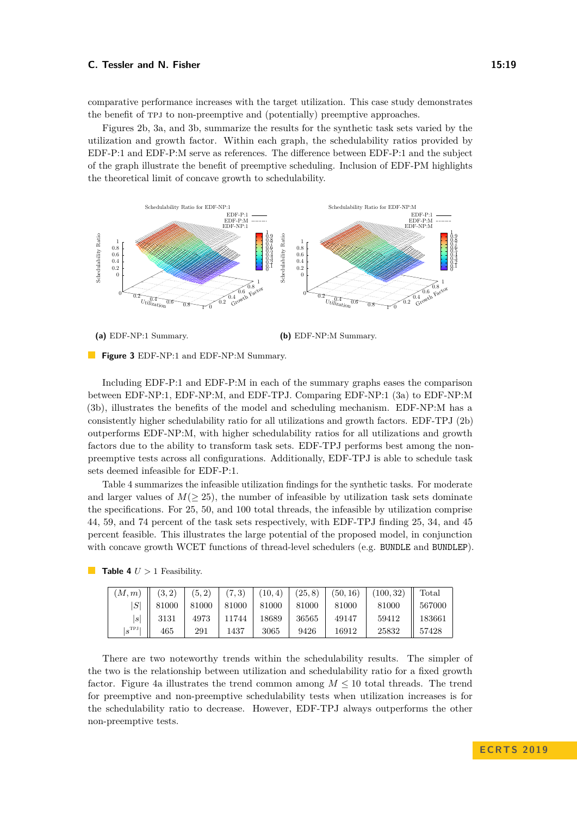comparative performance increases with the target utilization. This case study demonstrates the benefit of tpj to non-preemptive and (potentially) preemptive approaches.

Figures [2b,](#page-17-1) [3a,](#page-18-0) and [3b,](#page-18-0) summarize the results for the synthetic task sets varied by the utilization and growth factor. Within each graph, the schedulability ratios provided by EDF-P:1 and EDF-P:M serve as references. The difference between EDF-P:1 and the subject of the graph illustrate the benefit of preemptive scheduling. Inclusion of EDF-PM highlights the theoretical limit of concave growth to schedulability.

<span id="page-18-0"></span>

**(a)** EDF-NP:1 Summary.

**Figure 3** EDF-NP:1 and EDF-NP:M Summary.

Including EDF-P:1 and EDF-P:M in each of the summary graphs eases the comparison between EDF-NP:1, EDF-NP:M, and EDF-TPJ. Comparing EDF-NP:1 [\(3a\)](#page-18-0) to EDF-NP:M [\(3b\)](#page-18-0), illustrates the benefits of the model and scheduling mechanism. EDF-NP:M has a consistently higher schedulability ratio for all utilizations and growth factors. EDF-TPJ [\(2b\)](#page-17-1) outperforms EDF-NP:M, with higher schedulability ratios for all utilizations and growth factors due to the ability to transform task sets. EDF-TPJ performs best among the nonpreemptive tests across all configurations. Additionally, EDF-TPJ is able to schedule task sets deemed infeasible for EDF-P:1.

Table [4](#page-18-1) summarizes the infeasible utilization findings for the synthetic tasks. For moderate and larger values of  $M(\geq 25)$ , the number of infeasible by utilization task sets dominate the specifications. For 25, 50, and 100 total threads, the infeasible by utilization comprise 44, 59, and 74 percent of the task sets respectively, with EDF-TPJ finding 25, 34, and 45 percent feasible. This illustrates the large potential of the proposed model, in conjunction with concave growth WCET functions of thread-level schedulers (e.g. BUNDLE and BUNDLEP).

| (M,m)           |                   | $(3,2)$ $(5,2)$ |               |       |       |       | $(7,3)$ $(10,4)$ $(25,8)$ $(50,16)$ $(100,32)$ Total |        |
|-----------------|-------------------|-----------------|---------------|-------|-------|-------|------------------------------------------------------|--------|
|                 | $\parallel$ 81000 | 81000           | 81000   81000 |       | 81000 | 81000 | 81000                                                | 567000 |
| s               | 3131              | 4973            | 11744         | 18689 | 36565 | 49147 | 59412                                                | 183661 |
| $ s^{\rm TPJ} $ | 465               | 291             | 1437          | 3065  | 9426  | 16912 | 25832                                                | 57428  |

<span id="page-18-1"></span>**Table 4**  $U > 1$  Feasibility.

There are two noteworthy trends within the schedulability results. The simpler of the two is the relationship between utilization and schedulability ratio for a fixed growth factor. Figure [4a](#page-19-0) illustrates the trend common among  $M \leq 10$  total threads. The trend for preemptive and non-preemptive schedulability tests when utilization increases is for the schedulability ratio to decrease. However, EDF-TPJ always outperforms the other non-preemptive tests.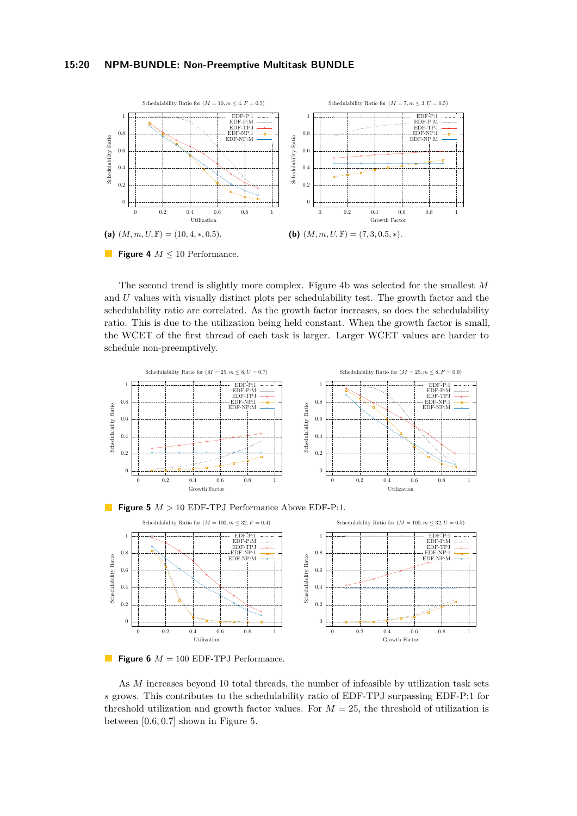<span id="page-19-0"></span>



The second trend is slightly more complex. Figure [4b](#page-19-0) was selected for the smallest *M* and *U* values with visually distinct plots per schedulability test. The growth factor and the schedulability ratio are correlated. As the growth factor increases, so does the schedulability ratio. This is due to the utilization being held constant. When the growth factor is small, the WCET of the first thread of each task is larger. Larger WCET values are harder to schedule non-preemptively.

<span id="page-19-1"></span>







As *M* increases beyond 10 total threads, the number of infeasible by utilization task sets *s* grows. This contributes to the schedulability ratio of EDF-TPJ surpassing EDF-P:1 for threshold utilization and growth factor values. For  $M = 25$ , the threshold of utilization is between [0*.*6*,* 0*.*7] shown in Figure [5.](#page-19-1)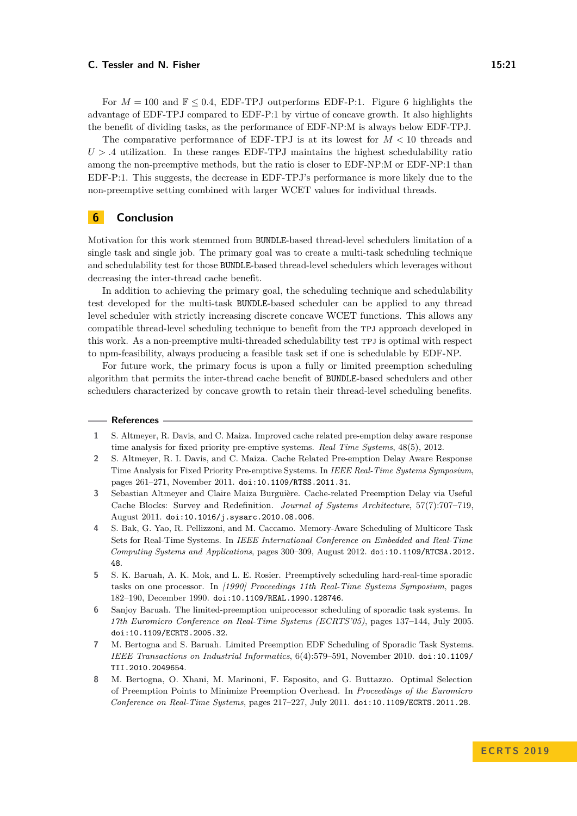For  $M = 100$  and  $\mathbb{F} \leq 0.4$ , EDF-TPJ outperforms EDF-P:1. Figure [6](#page-19-1) highlights the advantage of EDF-TPJ compared to EDF-P:1 by virtue of concave growth. It also highlights the benefit of dividing tasks, as the performance of EDF-NP:M is always below EDF-TPJ.

The comparative performance of EDF-TPJ is at its lowest for *M <* 10 threads and  $U > .4$  utilization. In these ranges EDF-TPJ maintains the highest schedulability ratio among the non-preemptive methods, but the ratio is closer to EDF-NP:M or EDF-NP:1 than EDF-P:1. This suggests, the decrease in EDF-TPJ's performance is more likely due to the non-preemptive setting combined with larger WCET values for individual threads.

## <span id="page-20-1"></span>**6 Conclusion**

Motivation for this work stemmed from BUNDLE-based thread-level schedulers limitation of a single task and single job. The primary goal was to create a multi-task scheduling technique and schedulability test for those BUNDLE-based thread-level schedulers which leverages without decreasing the inter-thread cache benefit.

In addition to achieving the primary goal, the scheduling technique and schedulability test developed for the multi-task BUNDLE-based scheduler can be applied to any thread level scheduler with strictly increasing discrete concave WCET functions. This allows any compatible thread-level scheduling technique to benefit from the tpj approach developed in this work. As a non-preemptive multi-threaded schedulability test tpj is optimal with respect to npm-feasibility, always producing a feasible task set if one is schedulable by EDF-NP.

For future work, the primary focus is upon a fully or limited preemption scheduling algorithm that permits the inter-thread cache benefit of BUNDLE-based schedulers and other schedulers characterized by concave growth to retain their thread-level scheduling benefits.

#### **References**

- <span id="page-20-2"></span>**1** S. Altmeyer, R. Davis, and C. Maiza. Improved cache related pre-emption delay aware response time analysis for fixed priority pre-emptive systems. *Real Time Systems*, 48(5), 2012.
- <span id="page-20-3"></span>**2** S. Altmeyer, R. I. Davis, and C. Maiza. Cache Related Pre-emption Delay Aware Response Time Analysis for Fixed Priority Pre-emptive Systems. In *IEEE Real-Time Systems Symposium*, pages 261–271, November 2011. [doi:10.1109/RTSS.2011.31](http://dx.doi.org/10.1109/RTSS.2011.31).
- <span id="page-20-4"></span>**3** Sebastian Altmeyer and Claire Maiza Burguière. Cache-related Preemption Delay via Useful Cache Blocks: Survey and Redefinition. *Journal of Systems Architecture*, 57(7):707–719, August 2011. [doi:10.1016/j.sysarc.2010.08.006](http://dx.doi.org/10.1016/j.sysarc.2010.08.006).
- <span id="page-20-6"></span>**4** S. Bak, G. Yao, R. Pellizzoni, and M. Caccamo. Memory-Aware Scheduling of Multicore Task Sets for Real-Time Systems. In *IEEE International Conference on Embedded and Real-Time Computing Systems and Applications*, pages 300–309, August 2012. [doi:10.1109/RTCSA.2012.](http://dx.doi.org/10.1109/RTCSA.2012.48) [48](http://dx.doi.org/10.1109/RTCSA.2012.48).
- <span id="page-20-7"></span>**5** S. K. Baruah, A. K. Mok, and L. E. Rosier. Preemptively scheduling hard-real-time sporadic tasks on one processor. In *[1990] Proceedings 11th Real-Time Systems Symposium*, pages 182–190, December 1990. [doi:10.1109/REAL.1990.128746](http://dx.doi.org/10.1109/REAL.1990.128746).
- <span id="page-20-0"></span>**6** Sanjoy Baruah. The limited-preemption uniprocessor scheduling of sporadic task systems. In *17th Euromicro Conference on Real-Time Systems (ECRTS'05)*, pages 137–144, July 2005. [doi:10.1109/ECRTS.2005.32](http://dx.doi.org/10.1109/ECRTS.2005.32).
- <span id="page-20-8"></span>**7** M. Bertogna and S. Baruah. Limited Preemption EDF Scheduling of Sporadic Task Systems. *IEEE Transactions on Industrial Informatics*, 6(4):579–591, November 2010. [doi:10.1109/](http://dx.doi.org/10.1109/TII.2010.2049654) [TII.2010.2049654](http://dx.doi.org/10.1109/TII.2010.2049654).
- <span id="page-20-5"></span>**8** M. Bertogna, O. Xhani, M. Marinoni, F. Esposito, and G. Buttazzo. Optimal Selection of Preemption Points to Minimize Preemption Overhead. In *Proceedings of the Euromicro Conference on Real-Time Systems*, pages 217–227, July 2011. [doi:10.1109/ECRTS.2011.28](http://dx.doi.org/10.1109/ECRTS.2011.28).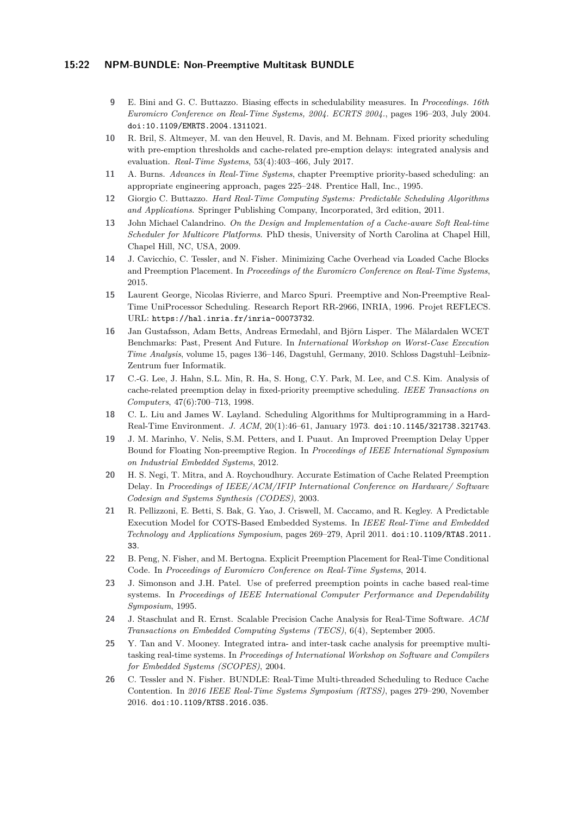#### **15:22 NPM-BUNDLE: Non-Preemptive Multitask BUNDLE**

- <span id="page-21-16"></span>**9** E. Bini and G. C. Buttazzo. Biasing effects in schedulability measures. In *Proceedings. 16th Euromicro Conference on Real-Time Systems, 2004. ECRTS 2004.*, pages 196–203, July 2004. [doi:10.1109/EMRTS.2004.1311021](http://dx.doi.org/10.1109/EMRTS.2004.1311021).
- <span id="page-21-9"></span>**10** R. Bril, S. Altmeyer, M. van den Heuvel, R. Davis, and M. Behnam. Fixed priority scheduling with pre-emption thresholds and cache-related pre-emption delays: integrated analysis and evaluation. *Real-Time Systems*, 53(4):403–466, July 2017.
- <span id="page-21-6"></span>**11** A. Burns. *Advances in Real-Time Systems*, chapter Preemptive priority-based scheduling: an appropriate engineering approach, pages 225–248. Prentice Hall, Inc., 1995.
- <span id="page-21-14"></span>**12** Giorgio C. Buttazzo. *Hard Real-Time Computing Systems: Predictable Scheduling Algorithms and Applications*. Springer Publishing Company, Incorporated, 3rd edition, 2011.
- <span id="page-21-12"></span>**13** John Michael Calandrino. *On the Design and Implementation of a Cache-aware Soft Real-time Scheduler for Multicore Platforms*. PhD thesis, University of North Carolina at Chapel Hill, Chapel Hill, NC, USA, 2009.
- <span id="page-21-11"></span>**14** J. Cavicchio, C. Tessler, and N. Fisher. Minimizing Cache Overhead via Loaded Cache Blocks and Preemption Placement. In *Proceedings of the Euromicro Conference on Real-Time Systems*, 2015.
- <span id="page-21-15"></span>**15** Laurent George, Nicolas Rivierre, and Marco Spuri. Preemptive and Non-Preemptive Real-Time UniProcessor Scheduling. Research Report RR-2966, INRIA, 1996. Projet REFLECS. URL: <https://hal.inria.fr/inria-00073732>.
- <span id="page-21-17"></span>**16** Jan Gustafsson, Adam Betts, Andreas Ermedahl, and Björn Lisper. The Mälardalen WCET Benchmarks: Past, Present And Future. In *International Workshop on Worst-Case Execution Time Analysis*, volume 15, pages 136–146, Dagstuhl, Germany, 2010. Schloss Dagstuhl–Leibniz-Zentrum fuer Informatik.
- <span id="page-21-2"></span>**17** C.-G. Lee, J. Hahn, S.L. Min, R. Ha, S. Hong, C.Y. Park, M. Lee, and C.S. Kim. Analysis of cache-related preemption delay in fixed-priority preemptive scheduling. *IEEE Transactions on Computers*, 47(6):700–713, 1998.
- <span id="page-21-13"></span>**18** C. L. Liu and James W. Layland. Scheduling Algorithms for Multiprogramming in a Hard-Real-Time Environment. *J. ACM*, 20(1):46–61, January 1973. [doi:10.1145/321738.321743](http://dx.doi.org/10.1145/321738.321743).
- <span id="page-21-7"></span>**19** J. M. Marinho, V. Nelis, S.M. Petters, and I. Puaut. An Improved Preemption Delay Upper Bound for Floating Non-preemptive Region. In *Proceedings of IEEE International Symposium on Industrial Embedded Systems*, 2012.
- <span id="page-21-3"></span>**20** H. S. Negi, T. Mitra, and A. Roychoudhury. Accurate Estimation of Cache Related Preemption Delay. In *Proceedings of IEEE/ACM/IFIP International Conference on Hardware/ Software Codesign and Systems Synthesis (CODES)*, 2003.
- <span id="page-21-0"></span>**21** R. Pellizzoni, E. Betti, S. Bak, G. Yao, J. Criswell, M. Caccamo, and R. Kegley. A Predictable Execution Model for COTS-Based Embedded Systems. In *IEEE Real-Time and Embedded Technology and Applications Symposium*, pages 269–279, April 2011. [doi:10.1109/RTAS.2011.](http://dx.doi.org/10.1109/RTAS.2011.33) [33](http://dx.doi.org/10.1109/RTAS.2011.33).
- <span id="page-21-10"></span>**22** B. Peng, N. Fisher, and M. Bertogna. Explicit Preemption Placement for Real-Time Conditional Code. In *Proceedings of Euromicro Conference on Real-Time Systems*, 2014.
- <span id="page-21-8"></span>**23** J. Simonson and J.H. Patel. Use of preferred preemption points in cache based real-time systems. In *Proceedings of IEEE International Computer Performance and Dependability Symposium*, 1995.
- <span id="page-21-4"></span>**24** J. Staschulat and R. Ernst. Scalable Precision Cache Analysis for Real-Time Software. *ACM Transactions on Embedded Computing Systems (TECS)*, 6(4), September 2005.
- <span id="page-21-5"></span>**25** Y. Tan and V. Mooney. Integrated intra- and inter-task cache analysis for preemptive multitasking real-time systems. In *Proceedings of International Workshop on Software and Compilers for Embedded Systems (SCOPES)*, 2004.
- <span id="page-21-1"></span>**26** C. Tessler and N. Fisher. BUNDLE: Real-Time Multi-threaded Scheduling to Reduce Cache Contention. In *2016 IEEE Real-Time Systems Symposium (RTSS)*, pages 279–290, November 2016. [doi:10.1109/RTSS.2016.035](http://dx.doi.org/10.1109/RTSS.2016.035).